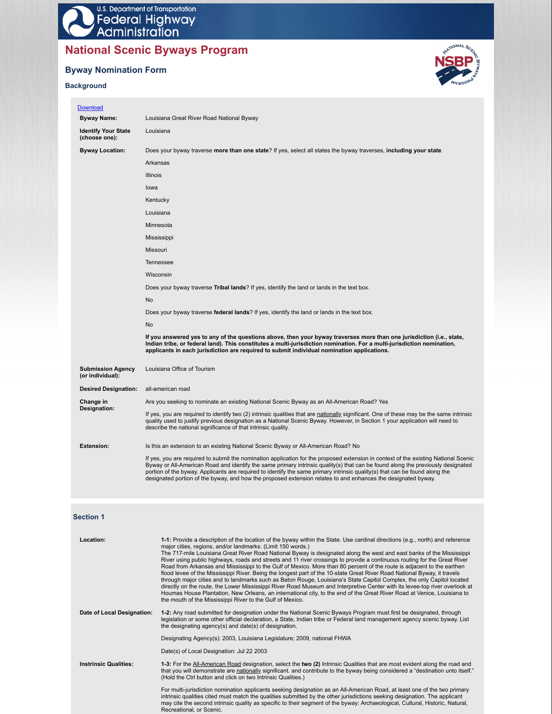# **National Scenic Byways Program**

# **Byway Nomination Form**

# **Background**



| Download                                     |                                                                                                                                                                                                                                                                                                                                                                                                                                                                                                                        |
|----------------------------------------------|------------------------------------------------------------------------------------------------------------------------------------------------------------------------------------------------------------------------------------------------------------------------------------------------------------------------------------------------------------------------------------------------------------------------------------------------------------------------------------------------------------------------|
| <b>Byway Name:</b>                           | Louisiana Great River Road National Byway                                                                                                                                                                                                                                                                                                                                                                                                                                                                              |
| <b>Identify Your State</b><br>(choose one):  | Louisiana                                                                                                                                                                                                                                                                                                                                                                                                                                                                                                              |
| <b>Byway Location:</b>                       | Does your byway traverse more than one state? If yes, select all states the byway traverses, including your state.                                                                                                                                                                                                                                                                                                                                                                                                     |
|                                              | Arkansas                                                                                                                                                                                                                                                                                                                                                                                                                                                                                                               |
|                                              | <b>Illinois</b>                                                                                                                                                                                                                                                                                                                                                                                                                                                                                                        |
|                                              | lowa                                                                                                                                                                                                                                                                                                                                                                                                                                                                                                                   |
|                                              | Kentucky                                                                                                                                                                                                                                                                                                                                                                                                                                                                                                               |
|                                              | Louisiana                                                                                                                                                                                                                                                                                                                                                                                                                                                                                                              |
|                                              | Minnesota                                                                                                                                                                                                                                                                                                                                                                                                                                                                                                              |
|                                              | Mississippi                                                                                                                                                                                                                                                                                                                                                                                                                                                                                                            |
|                                              | Missouri                                                                                                                                                                                                                                                                                                                                                                                                                                                                                                               |
|                                              | Tennessee                                                                                                                                                                                                                                                                                                                                                                                                                                                                                                              |
|                                              | Wisconsin                                                                                                                                                                                                                                                                                                                                                                                                                                                                                                              |
|                                              | Does your byway traverse Tribal lands? If yes, identify the land or lands in the text box.                                                                                                                                                                                                                                                                                                                                                                                                                             |
|                                              | No                                                                                                                                                                                                                                                                                                                                                                                                                                                                                                                     |
|                                              | Does your byway traverse federal lands? If yes, identify the land or lands in the text box.                                                                                                                                                                                                                                                                                                                                                                                                                            |
|                                              | No                                                                                                                                                                                                                                                                                                                                                                                                                                                                                                                     |
|                                              | If you answered yes to any of the questions above, then your byway traverses more than one jurisdiction (i.e., state,<br>Indian tribe, or federal land). This constitutes a multi-jurisdiction nomination. For a multi-jurisdiction nomination,<br>applicants in each jurisdiction are required to submit individual nomination applications.                                                                                                                                                                          |
| <b>Submission Agency</b><br>(or individual): | Louisiana Office of Tourism                                                                                                                                                                                                                                                                                                                                                                                                                                                                                            |
| <b>Desired Designation:</b>                  | all-american road                                                                                                                                                                                                                                                                                                                                                                                                                                                                                                      |
| Change in                                    | Are you seeking to nominate an existing National Scenic Byway as an All-American Road? Yes                                                                                                                                                                                                                                                                                                                                                                                                                             |
| Designation:                                 | If yes, you are required to identify two (2) intrinsic qualities that are nationally significant. One of these may be the same intrinsic<br>quality used to justify previous designation as a National Scenic Byway. However, in Section 1 your application will need to<br>describe the national significance of that intrinsic quality.                                                                                                                                                                              |
| <b>Extension:</b>                            | Is this an extension to an existing National Scenic Byway or All-American Road? No                                                                                                                                                                                                                                                                                                                                                                                                                                     |
|                                              | If yes, you are required to submit the nomination application for the proposed extension in context of the existing National Scenic<br>Byway or All-American Road and identify the same primary intrinsic quality(s) that can be found along the previously designated<br>portion of the byway. Applicants are required to identify the same primary intrinsic quality(s) that can be found along the<br>designated portion of the byway, and how the proposed extension relates to and enhances the designated byway. |

# **Section 1**

| Location:                    | 1-1: Provide a description of the location of the byway within the State. Use cardinal directions (e.g., north) and reference<br>major cities, regions, and/or landmarks. (Limit 150 words.)<br>The 717-mile Louisiana Great River Road National Byway is designated along the west and east banks of the Mississippi<br>River using public highways, roads and streets and 11 river crossings to provide a continuous routing for the Great River<br>Road from Arkansas and Mississippi to the Gulf of Mexico. More than 80 percent of the route is adjacent to the earthen<br>flood levee of the Mississippi River. Being the longest part of the 10-state Great River Road National Byway, it travels<br>through major cities and to landmarks such as Baton Rouge, Louisiana's State Capitol Complex, the only Capitol located<br>directly on the route, the Lower Mississippi River Road Museum and Interpretive Center with its levee-top river overlook at<br>Houmas House Plantation, New Orleans, an international city, to the end of the Great River Road at Venice, Louisiana to<br>the mouth of the Mississippi River to the Gulf of Mexico. |
|------------------------------|-----------------------------------------------------------------------------------------------------------------------------------------------------------------------------------------------------------------------------------------------------------------------------------------------------------------------------------------------------------------------------------------------------------------------------------------------------------------------------------------------------------------------------------------------------------------------------------------------------------------------------------------------------------------------------------------------------------------------------------------------------------------------------------------------------------------------------------------------------------------------------------------------------------------------------------------------------------------------------------------------------------------------------------------------------------------------------------------------------------------------------------------------------------|
| Date of Local Designation:   | 1-2: Any road submitted for designation under the National Scenic Byways Program must first be designated, through<br>legislation or some other official declaration, a State, Indian tribe or Federal land management agency scenic byway. List<br>the designating agency(s) and date(s) of designation.                                                                                                                                                                                                                                                                                                                                                                                                                                                                                                                                                                                                                                                                                                                                                                                                                                                 |
|                              | Designating Agency(s): 2003, Louisiana Legislature; 2009, national FHWA                                                                                                                                                                                                                                                                                                                                                                                                                                                                                                                                                                                                                                                                                                                                                                                                                                                                                                                                                                                                                                                                                   |
|                              | Date(s) of Local Designation: Jul 22 2003                                                                                                                                                                                                                                                                                                                                                                                                                                                                                                                                                                                                                                                                                                                                                                                                                                                                                                                                                                                                                                                                                                                 |
| <b>Instrinsic Qualities:</b> | 1-3: For the All-American Road designation, select the two (2) Intrinsic Qualities that are most evident along the road and<br>that you will demonstrate are nationally significant. and contribute to the byway being considered a "destination unto itself."<br>(Hold the Ctrl button and click on two Intrinsic Qualities.)                                                                                                                                                                                                                                                                                                                                                                                                                                                                                                                                                                                                                                                                                                                                                                                                                            |
|                              | For multi-jurisdiction nomination applicants seeking designation as an All-American Road, at least one of the two primary<br>intrinsic qualities cited must match the qualities submitted by the other jurisdictions seeking designation. The applicant<br>may cite the second intrinsic quality as specific to their segment of the byway: Archaeological, Cultural, Historic, Natural,<br>Recreational, or Scenic.                                                                                                                                                                                                                                                                                                                                                                                                                                                                                                                                                                                                                                                                                                                                      |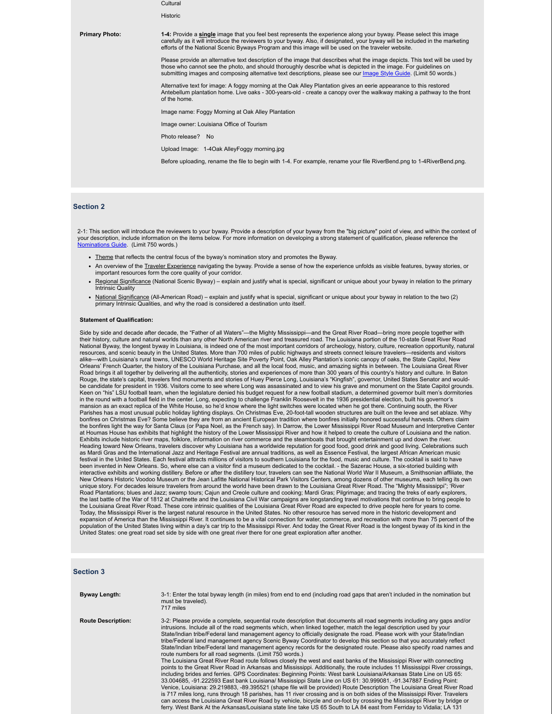**Cultural** Historic **Primary Photo:** 1-4: Provide a single image that you feel best represents the experience along your byway. Please select this image<br>carefully as it will introduce the reviewers to your byway. Also, if designated, your byw efforts of the National Scenic Byways Program and this image will be used on the traveler website. Please provide an alternative text description of the image that describes what the image depicts. This text will be used by those who cannot see the photo, and should thoroughly describe what is depicted in the image. For guidelines on<br>submitting images and composing alternative text descriptions, please see our Image Style Guide. (Limit 50 wor submitting images and composing alternative text descriptions, please see our *Image Style G* Alternative text for image: A foggy morning at the Oak Alley Plantation gives an eerie appearance to this restored Antebellum plantation home. Live oaks - 300-years-old - create a canopy over the walkway making a pathway to the front of the home. Image name: Foggy Morning at Oak Alley Plantation Image owner: Louisiana Office of Tourism Photo release? No Upload Image: 1-4Oak AlleyFoggy morning.jpg Before uploading, rename the file to begin with 1-4. For example, rename your file RiverBend.png to 1-4RiverBend.png.

#### **Section 2**

2-1: This section will introduce the reviewers to your byway. Provide a description of your byway from the "big picture" point of view, and within the context of your description, include information on the items below. For more information on developing a strong statement of qualification, please reference the Nominations Guide. (Limit 750 words.)

- Theme that reflects the central focus of the byway's nomination story and promotes the Byway.
- An overview of the Traveler Experience navigating the byway. Provide a sense of how the experience unfolds as visible features, byway stories, or important resources form the core quality of your corridor.
- Regional Significance (National Scenic Byway) explain and justify what is special, significant or unique about your byway in relation to the primary Intrinsic Quality
- National Significance (All-American Road) explain and justify what is special, significant or unique about your byway in relation to the two (2) primary Intrinsic Qualities, and why the road is considered a destination unto itself

#### **Statement of Qualification:**

Side by side and decade after decade, the "Father of all Waters"—the Mighty Mississippi—and the Great River Road—bring more people together with their history, culture and natural worlds than any other North American river and treasured road. The Louisiana portion of the 10-state Great River Road National Byway, the longest byway in Louisiana, is indeed one of the most important corridors of archeology, history, culture, recreation opportunity, natural resources, and scenic beauty in the United States. More than 700 miles of public highways and streets connect leisure travelers—residents and visitors<br>alike—with Louisiana's rural towns, UNESCO World Heritage Site Poverty Orleans' French Quarter, the history of the Louisiana Purchase, and all the local food, music, and amazing sights in between. The Louisiana Great River Road brings it all together by delivering all the authenticity, stories and experiences of more than 300 years of this country's history and culture. In Baton Rouge, the state's capital, travelers find monuments and stories of Huey Pierce Long, Louisiana's "Kingfish", governor, United States Senator and would-<br>be candidate for president in 1936. Visitors come to see where Long w Keen on "his" LSU football team, when the legislature denied his budget request for a new football stadium, a determined governor built men's dormitories in the round with a football field in the center. Long, expecting to challenge Franklin Roosevelt in the 1936 presidential election, built his governor's mansion as an exact replica of the White House, so he'd know where the light switches were located when he got there. Continuing south, the River Parishes has a most unusual public holiday lighting displays. On Christmas Eve, 20-foot-tall wooden structures are built on the levee and set ablaze. Why<br>bonfires on Christmas Eve? Some believe they are from an ancient Eur the bonfires light the way for Santa Claus (or Papa Noel, as the French say). In Darrow, the Lower Mississippi River Road Museum and Interpretive Center at Houmas House has exhibits that highlight the history of the Lower Mississippi River and how it helped to create the culture of Louisiana and the nation. Exhibits include historic river maps, folklore, information on river commerce and the steamboats that brought entertainment up and down the river. Heading toward New Orleans, travelers discover why Louisiana has a worldwide reputation for good food, good drink and good living. Celebrations such as Mardi Gras and the International Jazz and Heritage Festival are annual traditions, as well as Essence Festival, the largest African American music festival in the United States. Each festival attracts millions of visitors to southern Louisiana for the food, music and culture. The cocktail is said to have been invented in New Orleans. So, where else can a visitor find a museum dedicated to the cocktail. - the Sazerac House, a six-storied building with interactive exhibits and working distillery. Before or after the distillery tour, travelers can see the National World War II Museum, a Smithsonian affiliate, the<br>New Orleans Historic Voodoo Museum or the Jean Lafitte Nati unique story. For decades leisure travelers from around the world have been drawn to the Louisiana Great River Road. The "Mighty Mississippi"; 'River Road Plantations; blues and Jazz; swamp tours; Cajun and Creole culture and cooking; Mardi Gras; Pilgrimage; and tracing the treks of early explorers, the last battle of the War of 1812 at Chalmette and the Louisiana Civil War campaigns are longstanding travel motivations that continue to bring people to the Louisiana Great River Road. These core intrinsic qualities of the Louisiana Great River Road are expected to drive people here for years to come.<br>Today, the Mississippi River is the largest natural resource in the Unit expansion of America than the Mississippi River. It continues to be a vital connection for water, commerce, and recreation with more than 75 percent of the population of the United States living within a day's car trip to the Mississippi River. And today the Great River Road is the longest byway of its kind in the United States: one great road set side by side with one great river there for one great exploration after another.

#### **Section 3**

| <b>Byway Length:</b>      | 3-1: Enter the total byway length (in miles) from end to end (including road gaps that aren't included in the nomination but<br>must be traveled).<br>717 miles                                                                                                                                                                                                                                                                                                                                                                                                                                                                                                                                                                                                                                                                                                                                                                                                                                                                                                                                                                                                                                                                                                                                                                                                                                                                                                                                                                                                                                                                                                                                       |
|---------------------------|-------------------------------------------------------------------------------------------------------------------------------------------------------------------------------------------------------------------------------------------------------------------------------------------------------------------------------------------------------------------------------------------------------------------------------------------------------------------------------------------------------------------------------------------------------------------------------------------------------------------------------------------------------------------------------------------------------------------------------------------------------------------------------------------------------------------------------------------------------------------------------------------------------------------------------------------------------------------------------------------------------------------------------------------------------------------------------------------------------------------------------------------------------------------------------------------------------------------------------------------------------------------------------------------------------------------------------------------------------------------------------------------------------------------------------------------------------------------------------------------------------------------------------------------------------------------------------------------------------------------------------------------------------------------------------------------------------|
| <b>Route Description:</b> | 3-2: Please provide a complete, sequential route description that documents all road segments including any gaps and/or<br>intrusions. Include all of the road segments which, when linked together, match the legal description used by your<br>State/Indian tribe/Federal land management agency to officially designate the road. Please work with your State/Indian<br>tribe/Federal land management agency Scenic Byway Coordinator to develop this section so that you accurately reflect<br>State/Indian tribe/Federal land management agency records for the designated route. Please also specify road names and<br>route numbers for all road seaments. (Limit 750 words.)<br>The Louisiana Great River Road route follows closely the west and east banks of the Mississippi River with connecting<br>points to the Great River Road in Arkansas and Mississippi. Additionally, the route includes 11 Mississippi River crossings,<br>including brides and ferries. GPS Coordinates: Beginning Points: West bank Louisiana/Arkansas State Line on US 65:<br>33.004685, -91.222593 East bank Louisiana/ Mississippi State Line on US 61: 30.999081, -91.347887 Ending Point:<br>Venice, Louisiana: 29.219883, -89.395521 (shape file will be provided) Route Description The Louisiana Great River Road<br>is 717 miles long, runs through 18 parishes, has 11 river crossing and is on both sides of the Mississippi River. Travelers<br>can access the Louisiana Great River Road by vehicle, bicycle and on-foot by crossing the Mississippi River by bridge or<br>ferry. West Bank At the Arkansas/Louisiana state line take US 65 South to LA 84 east from Ferriday to Vidalia; LA 131 |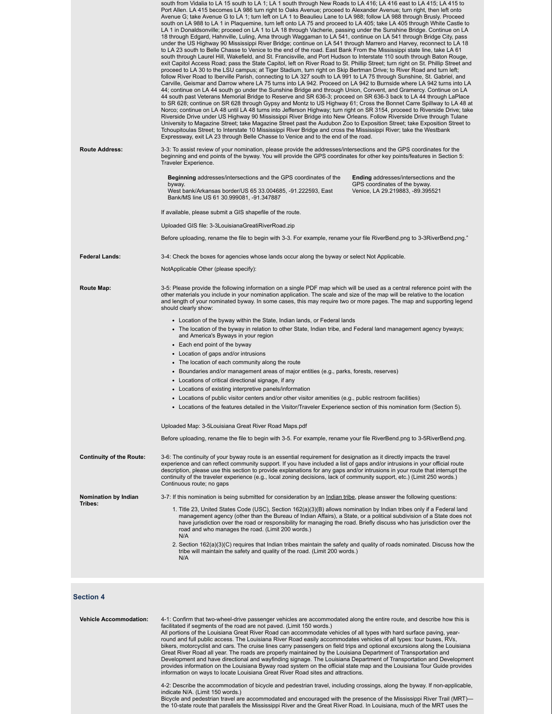|                                 | south from Vidalia to LA 15 south to LA 1; LA 1 south through New Roads to LA 416; LA 416 east to LA 415; LA 415 to<br>Port Allen. LA 415 becomes LA 986 turn right to Oaks Avenue; proceed to Alexander Avenue; turn right, then left onto<br>Avenue G; take Avenue G to LA 1; turn left on LA 1 to Beaulieu Lane to LA 988; follow LA 988 through Brusly. Proceed<br>south on LA 988 to LA 1 in Plaquemine, turn left onto LA 75 and proceed to LA 405; take LA 405 through White Castle to<br>LA 1 in Donaldsonville; proceed on LA 1 to LA 18 through Vacherie, passing under the Sunshine Bridge. Continue on LA<br>18 through Edgard, Hahnville, Luling, Ama through Waggaman to LA 541, continue on LA 541 through Bridge City, pass<br>under the US Highway 90 Mississippi River Bridge; continue on LA 541 through Marrero and Harvey, reconnect to LA 18<br>to LA 23 south to Belle Chasse to Venice to the end of the road. East Bank From the Mississippi state line, take LA 61<br>south through Laurel Hill, Wakefield, and St. Francisville, and Port Hudson to Interstate 110 south through Baton Rouge,<br>exit Capitol Access Road; pass the State Capitol, left on River Road to St. Phillip Street; turn right on St. Phillip Street and<br>proceed to LA 30 to the LSU campus; at Tiger Stadium, turn right on Skip Bertman Drive; to River Road and turn left;<br>follow River Road to Iberville Parish, connecting to LA 327 south to LA 991 to LA 75 through Sunshine, St. Gabriel, and<br>Carville, Geismar and Darrow where LA 75 turns into LA 942. Proceed on LA 942 to Burnside where LA 942 turns into LA<br>44; continue on LA 44 south go under the Sunshine Bridge and through Union, Convent, and Gramercy. Continue on LA<br>44 south past Veterans Memorial Bridge to Reserve and SR 636-3; proceed on SR 636-3 back to LA 44 through LaPlace<br>to SR 628; continue on SR 628 through Gypsy and Montz to US Highway 61; Cross the Bonnet Carre Spillway to LA 48 at<br>Norco; continue on LA 48 until LA 48 turns into Jefferson Highway; turn right on SR 3154, proceed to Riverside Drive; take<br>Riverside Drive under US Highway 90 Mississippi River Bridge into New Orleans. Follow Riverside Drive through Tulane<br>University to Magazine Street; take Magazine Street past the Audubon Zoo to Exposition Street; take Exposition Street to<br>Tchoupitoulas Street; to Interstate 10 Mississippi River Bridge and cross the Mississippi River; take the Westbank<br>Expressway, exit LA 23 through Belle Chasse to Venice and to the end of the road. |                                                                                                                    |
|---------------------------------|-------------------------------------------------------------------------------------------------------------------------------------------------------------------------------------------------------------------------------------------------------------------------------------------------------------------------------------------------------------------------------------------------------------------------------------------------------------------------------------------------------------------------------------------------------------------------------------------------------------------------------------------------------------------------------------------------------------------------------------------------------------------------------------------------------------------------------------------------------------------------------------------------------------------------------------------------------------------------------------------------------------------------------------------------------------------------------------------------------------------------------------------------------------------------------------------------------------------------------------------------------------------------------------------------------------------------------------------------------------------------------------------------------------------------------------------------------------------------------------------------------------------------------------------------------------------------------------------------------------------------------------------------------------------------------------------------------------------------------------------------------------------------------------------------------------------------------------------------------------------------------------------------------------------------------------------------------------------------------------------------------------------------------------------------------------------------------------------------------------------------------------------------------------------------------------------------------------------------------------------------------------------------------------------------------------------------------------------------------------------------------------------------------------------------------------------------------------------------------------------------------------------------------------------------------------------------------------------------------|--------------------------------------------------------------------------------------------------------------------|
| <b>Route Address:</b>           | 3-3: To assist review of your nomination, please provide the addresses/intersections and the GPS coordinates for the<br>beginning and end points of the byway. You will provide the GPS coordinates for other key points/features in Section 5:<br>Traveler Experience.                                                                                                                                                                                                                                                                                                                                                                                                                                                                                                                                                                                                                                                                                                                                                                                                                                                                                                                                                                                                                                                                                                                                                                                                                                                                                                                                                                                                                                                                                                                                                                                                                                                                                                                                                                                                                                                                                                                                                                                                                                                                                                                                                                                                                                                                                                                               |                                                                                                                    |
|                                 | Beginning addresses/intersections and the GPS coordinates of the<br>byway.<br>West bank/Arkansas border/US 65 33.004685, -91.222593, East<br>Bank/MS line US 61 30.999081, -91.347887                                                                                                                                                                                                                                                                                                                                                                                                                                                                                                                                                                                                                                                                                                                                                                                                                                                                                                                                                                                                                                                                                                                                                                                                                                                                                                                                                                                                                                                                                                                                                                                                                                                                                                                                                                                                                                                                                                                                                                                                                                                                                                                                                                                                                                                                                                                                                                                                                 | <b>Ending</b> addresses/intersections and the<br>GPS coordinates of the byway.<br>Venice, LA 29.219883, -89.395521 |
|                                 | If available, please submit a GIS shapefile of the route.                                                                                                                                                                                                                                                                                                                                                                                                                                                                                                                                                                                                                                                                                                                                                                                                                                                                                                                                                                                                                                                                                                                                                                                                                                                                                                                                                                                                                                                                                                                                                                                                                                                                                                                                                                                                                                                                                                                                                                                                                                                                                                                                                                                                                                                                                                                                                                                                                                                                                                                                             |                                                                                                                    |
|                                 | Uploaded GIS file: 3-3LouisianaGreatiRiverRoad.zip                                                                                                                                                                                                                                                                                                                                                                                                                                                                                                                                                                                                                                                                                                                                                                                                                                                                                                                                                                                                                                                                                                                                                                                                                                                                                                                                                                                                                                                                                                                                                                                                                                                                                                                                                                                                                                                                                                                                                                                                                                                                                                                                                                                                                                                                                                                                                                                                                                                                                                                                                    |                                                                                                                    |
|                                 | Before uploading, rename the file to begin with 3-3. For example, rename your file RiverBend.png to 3-3RiverBend.png."                                                                                                                                                                                                                                                                                                                                                                                                                                                                                                                                                                                                                                                                                                                                                                                                                                                                                                                                                                                                                                                                                                                                                                                                                                                                                                                                                                                                                                                                                                                                                                                                                                                                                                                                                                                                                                                                                                                                                                                                                                                                                                                                                                                                                                                                                                                                                                                                                                                                                |                                                                                                                    |
| <b>Federal Lands:</b>           | 3-4: Check the boxes for agencies whose lands occur along the byway or select Not Applicable.                                                                                                                                                                                                                                                                                                                                                                                                                                                                                                                                                                                                                                                                                                                                                                                                                                                                                                                                                                                                                                                                                                                                                                                                                                                                                                                                                                                                                                                                                                                                                                                                                                                                                                                                                                                                                                                                                                                                                                                                                                                                                                                                                                                                                                                                                                                                                                                                                                                                                                         |                                                                                                                    |
|                                 | NotApplicable Other (please specify):                                                                                                                                                                                                                                                                                                                                                                                                                                                                                                                                                                                                                                                                                                                                                                                                                                                                                                                                                                                                                                                                                                                                                                                                                                                                                                                                                                                                                                                                                                                                                                                                                                                                                                                                                                                                                                                                                                                                                                                                                                                                                                                                                                                                                                                                                                                                                                                                                                                                                                                                                                 |                                                                                                                    |
| Route Map:                      | 3-5: Please provide the following information on a single PDF map which will be used as a central reference point with the<br>other materials you include in your nomination application. The scale and size of the map will be relative to the location<br>and length of your nominated byway. In some cases, this may require two or more pages. The map and supporting legend<br>should clearly show:                                                                                                                                                                                                                                                                                                                                                                                                                                                                                                                                                                                                                                                                                                                                                                                                                                                                                                                                                                                                                                                                                                                                                                                                                                                                                                                                                                                                                                                                                                                                                                                                                                                                                                                                                                                                                                                                                                                                                                                                                                                                                                                                                                                              |                                                                                                                    |
|                                 | • Location of the byway within the State, Indian lands, or Federal lands                                                                                                                                                                                                                                                                                                                                                                                                                                                                                                                                                                                                                                                                                                                                                                                                                                                                                                                                                                                                                                                                                                                                                                                                                                                                                                                                                                                                                                                                                                                                                                                                                                                                                                                                                                                                                                                                                                                                                                                                                                                                                                                                                                                                                                                                                                                                                                                                                                                                                                                              |                                                                                                                    |
|                                 | • The location of the byway in relation to other State, Indian tribe, and Federal land management agency byways;<br>and America's Byways in your region                                                                                                                                                                                                                                                                                                                                                                                                                                                                                                                                                                                                                                                                                                                                                                                                                                                                                                                                                                                                                                                                                                                                                                                                                                                                                                                                                                                                                                                                                                                                                                                                                                                                                                                                                                                                                                                                                                                                                                                                                                                                                                                                                                                                                                                                                                                                                                                                                                               |                                                                                                                    |
|                                 | • Each end point of the byway                                                                                                                                                                                                                                                                                                                                                                                                                                                                                                                                                                                                                                                                                                                                                                                                                                                                                                                                                                                                                                                                                                                                                                                                                                                                                                                                                                                                                                                                                                                                                                                                                                                                                                                                                                                                                                                                                                                                                                                                                                                                                                                                                                                                                                                                                                                                                                                                                                                                                                                                                                         |                                                                                                                    |
|                                 | • Location of gaps and/or intrusions                                                                                                                                                                                                                                                                                                                                                                                                                                                                                                                                                                                                                                                                                                                                                                                                                                                                                                                                                                                                                                                                                                                                                                                                                                                                                                                                                                                                                                                                                                                                                                                                                                                                                                                                                                                                                                                                                                                                                                                                                                                                                                                                                                                                                                                                                                                                                                                                                                                                                                                                                                  |                                                                                                                    |
|                                 | • The location of each community along the route                                                                                                                                                                                                                                                                                                                                                                                                                                                                                                                                                                                                                                                                                                                                                                                                                                                                                                                                                                                                                                                                                                                                                                                                                                                                                                                                                                                                                                                                                                                                                                                                                                                                                                                                                                                                                                                                                                                                                                                                                                                                                                                                                                                                                                                                                                                                                                                                                                                                                                                                                      |                                                                                                                    |
|                                 | • Boundaries and/or management areas of major entities (e.g., parks, forests, reserves)<br>• Locations of critical directional signage, if any                                                                                                                                                                                                                                                                                                                                                                                                                                                                                                                                                                                                                                                                                                                                                                                                                                                                                                                                                                                                                                                                                                                                                                                                                                                                                                                                                                                                                                                                                                                                                                                                                                                                                                                                                                                                                                                                                                                                                                                                                                                                                                                                                                                                                                                                                                                                                                                                                                                        |                                                                                                                    |
|                                 | • Locations of existing interpretive panels/information                                                                                                                                                                                                                                                                                                                                                                                                                                                                                                                                                                                                                                                                                                                                                                                                                                                                                                                                                                                                                                                                                                                                                                                                                                                                                                                                                                                                                                                                                                                                                                                                                                                                                                                                                                                                                                                                                                                                                                                                                                                                                                                                                                                                                                                                                                                                                                                                                                                                                                                                               |                                                                                                                    |
|                                 | • Locations of public visitor centers and/or other visitor amenities (e.g., public restroom facilities)                                                                                                                                                                                                                                                                                                                                                                                                                                                                                                                                                                                                                                                                                                                                                                                                                                                                                                                                                                                                                                                                                                                                                                                                                                                                                                                                                                                                                                                                                                                                                                                                                                                                                                                                                                                                                                                                                                                                                                                                                                                                                                                                                                                                                                                                                                                                                                                                                                                                                               |                                                                                                                    |
|                                 | Locations of the features detailed in the Visitor/Traveler Experience section of this nomination form (Section 5).                                                                                                                                                                                                                                                                                                                                                                                                                                                                                                                                                                                                                                                                                                                                                                                                                                                                                                                                                                                                                                                                                                                                                                                                                                                                                                                                                                                                                                                                                                                                                                                                                                                                                                                                                                                                                                                                                                                                                                                                                                                                                                                                                                                                                                                                                                                                                                                                                                                                                    |                                                                                                                    |
|                                 | Uploaded Map: 3-5Louisiana Great River Road Maps.pdf                                                                                                                                                                                                                                                                                                                                                                                                                                                                                                                                                                                                                                                                                                                                                                                                                                                                                                                                                                                                                                                                                                                                                                                                                                                                                                                                                                                                                                                                                                                                                                                                                                                                                                                                                                                                                                                                                                                                                                                                                                                                                                                                                                                                                                                                                                                                                                                                                                                                                                                                                  |                                                                                                                    |
|                                 | Before uploading, rename the file to begin with 3-5. For example, rename your file RiverBend.png to 3-5RiverBend.png.                                                                                                                                                                                                                                                                                                                                                                                                                                                                                                                                                                                                                                                                                                                                                                                                                                                                                                                                                                                                                                                                                                                                                                                                                                                                                                                                                                                                                                                                                                                                                                                                                                                                                                                                                                                                                                                                                                                                                                                                                                                                                                                                                                                                                                                                                                                                                                                                                                                                                 |                                                                                                                    |
| <b>Continuity of the Route:</b> | 3-6: The continuity of your byway route is an essential requirement for designation as it directly impacts the travel<br>experience and can reflect community support. If you have included a list of gaps and/or intrusions in your official route<br>description, please use this section to provide explanations for any gaps and/or intrusions in your route that interrupt the<br>continuity of the traveler experience (e.g., local zoning decisions, lack of community support, etc.) (Limit 250 words.)<br>Continuous route; no gaps                                                                                                                                                                                                                                                                                                                                                                                                                                                                                                                                                                                                                                                                                                                                                                                                                                                                                                                                                                                                                                                                                                                                                                                                                                                                                                                                                                                                                                                                                                                                                                                                                                                                                                                                                                                                                                                                                                                                                                                                                                                          |                                                                                                                    |
| Nomination by Indian            | 3-7: If this nomination is being submitted for consideration by an Indian tribe, please answer the following questions:                                                                                                                                                                                                                                                                                                                                                                                                                                                                                                                                                                                                                                                                                                                                                                                                                                                                                                                                                                                                                                                                                                                                                                                                                                                                                                                                                                                                                                                                                                                                                                                                                                                                                                                                                                                                                                                                                                                                                                                                                                                                                                                                                                                                                                                                                                                                                                                                                                                                               |                                                                                                                    |
| Tribes:                         | 1. Title 23, United States Code (USC), Section 162(a)(3)(B) allows nomination by Indian tribes only if a Federal land<br>management agency (other than the Bureau of Indian Affairs), a State, or a political subdivision of a State does not<br>have jurisdiction over the road or responsibility for managing the road. Briefly discuss who has jurisdiction over the<br>road and who manages the road. (Limit 200 words.)<br>N/A                                                                                                                                                                                                                                                                                                                                                                                                                                                                                                                                                                                                                                                                                                                                                                                                                                                                                                                                                                                                                                                                                                                                                                                                                                                                                                                                                                                                                                                                                                                                                                                                                                                                                                                                                                                                                                                                                                                                                                                                                                                                                                                                                                   |                                                                                                                    |
|                                 | 2. Section 162(a)(3)(C) requires that Indian tribes maintain the safety and quality of roads nominated. Discuss how the<br>tribe will maintain the safety and quality of the road. (Limit 200 words.)<br>N/A                                                                                                                                                                                                                                                                                                                                                                                                                                                                                                                                                                                                                                                                                                                                                                                                                                                                                                                                                                                                                                                                                                                                                                                                                                                                                                                                                                                                                                                                                                                                                                                                                                                                                                                                                                                                                                                                                                                                                                                                                                                                                                                                                                                                                                                                                                                                                                                          |                                                                                                                    |
|                                 |                                                                                                                                                                                                                                                                                                                                                                                                                                                                                                                                                                                                                                                                                                                                                                                                                                                                                                                                                                                                                                                                                                                                                                                                                                                                                                                                                                                                                                                                                                                                                                                                                                                                                                                                                                                                                                                                                                                                                                                                                                                                                                                                                                                                                                                                                                                                                                                                                                                                                                                                                                                                       |                                                                                                                    |

# **Section 4**

| <b>Vehicle Accommodation:</b> | 4-1: Confirm that two-wheel-drive passenger vehicles are accommodated along the entire route, and describe how this is<br>facilitated if segments of the road are not paved. (Limit 150 words.)<br>All portions of the Louisiana Great River Road can accommodate vehicles of all types with hard surface paving, year-<br>round and full public access. The Louisiana River Road easily accommodates vehicles of all types: tour buses, RVs,<br>bikers, motorcyclist and cars. The cruise lines carry passengers on field trips and optional excursions along the Louisiana<br>Great River Road all year. The roads are properly maintained by the Louisiana Department of Transportation and<br>Development and have directional and wayfinding signage. The Louisiana Department of Transportation and Development<br>provides information on the Louisiana Byway road system on the official state map and the Louisiana Tour Guide provides<br>information on ways to locate Louisiana Great River Road sites and attractions. |
|-------------------------------|-------------------------------------------------------------------------------------------------------------------------------------------------------------------------------------------------------------------------------------------------------------------------------------------------------------------------------------------------------------------------------------------------------------------------------------------------------------------------------------------------------------------------------------------------------------------------------------------------------------------------------------------------------------------------------------------------------------------------------------------------------------------------------------------------------------------------------------------------------------------------------------------------------------------------------------------------------------------------------------------------------------------------------------|
|                               | 4-2: Describe the accommodation of bicycle and pedestrian travel, including crossings, along the byway. If non-applicable,<br>indicate N/A. (Limit 150 words.)<br>Bicycle and pedestrian travel are accommodated and encouraged with the presence of the Mississippi River Trail (MRT)—<br>the 10-state route that parallels the Mississippi River and the Great River Road. In Louisiana, much of the MRT uses the                                                                                                                                                                                                                                                                                                                                                                                                                                                                                                                                                                                                                 |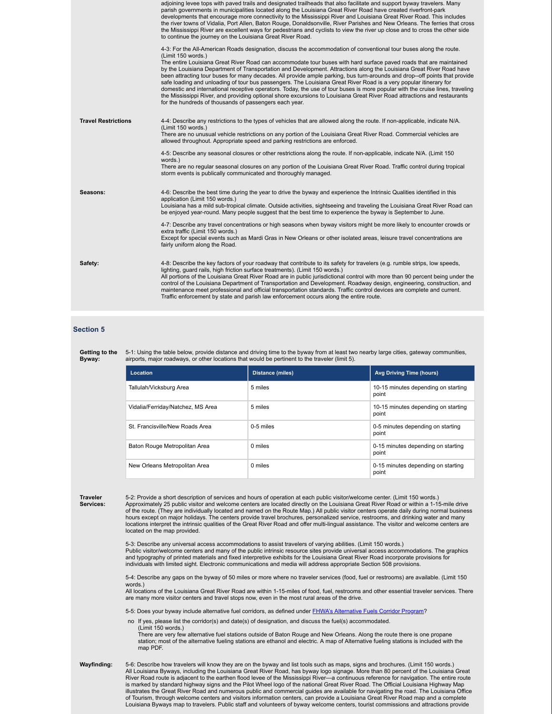|                            | adjoining levee tops with paved trails and designated trailheads that also facilitate and support byway travelers. Many<br>parish governments in municipalities located along the Louisiana Great River Road have created riverfront-park<br>developments that encourage more connectivity to the Mississippi River and Louisiana Great River Road. This includes<br>the river towns of Vidalia, Port Allen, Baton Rouge, Donaldsonville, River Parishes and New Orleans. The ferries that cross<br>the Mississippi River are excellent ways for pedestrians and cyclists to view the river up close and to cross the other side<br>to continue the journey on the Louisiana Great River Road.                                                                                                                                                                                                                                                                   |
|----------------------------|------------------------------------------------------------------------------------------------------------------------------------------------------------------------------------------------------------------------------------------------------------------------------------------------------------------------------------------------------------------------------------------------------------------------------------------------------------------------------------------------------------------------------------------------------------------------------------------------------------------------------------------------------------------------------------------------------------------------------------------------------------------------------------------------------------------------------------------------------------------------------------------------------------------------------------------------------------------|
|                            | 4-3: For the All-American Roads designation, discuss the accommodation of conventional tour buses along the route.<br>(Limit 150 words.)<br>The entire Louisiana Great River Road can accommodate tour buses with hard surface paved roads that are maintained<br>by the Louisiana Department of Transportation and Development. Attractions along the Louisiana Great River Road have<br>been attracting tour buses for many decades. All provide ample parking, bus turn-arounds and drop--off points that provide<br>safe loading and unloading of tour bus passengers. The Louisiana Great River Road is a very popular itinerary for<br>domestic and international receptive operators. Today, the use of tour buses is more popular with the cruise lines, traveling<br>the Mississippi River, and providing optional shore excursions to Louisiana Great River Road attractions and restaurants<br>for the hundreds of thousands of passengers each year. |
| <b>Travel Restrictions</b> | 4-4: Describe any restrictions to the types of vehicles that are allowed along the route. If non-applicable, indicate N/A.<br>(Limit 150 words.)<br>There are no unusual vehicle restrictions on any portion of the Louisiana Great River Road. Commercial vehicles are<br>allowed throughout. Appropriate speed and parking restrictions are enforced.                                                                                                                                                                                                                                                                                                                                                                                                                                                                                                                                                                                                          |
|                            | 4-5: Describe any seasonal closures or other restrictions along the route. If non-applicable, indicate N/A. (Limit 150)<br>words.)<br>There are no regular seasonal closures on any portion of the Louisiana Great River Road. Traffic control during tropical<br>storm events is publically communicated and thoroughly managed.                                                                                                                                                                                                                                                                                                                                                                                                                                                                                                                                                                                                                                |
| Seasons:                   | 4-6: Describe the best time during the year to drive the byway and experience the Intrinsic Qualities identified in this<br>application (Limit 150 words.)<br>Louisiana has a mild sub-tropical climate. Outside activities, sightseeing and traveling the Louisiana Great River Road can<br>be enjoyed year-round. Many people suggest that the best time to experience the byway is September to June.                                                                                                                                                                                                                                                                                                                                                                                                                                                                                                                                                         |
|                            | 4-7: Describe any travel concentrations or high seasons when byway visitors might be more likely to encounter crowds or<br>extra traffic (Limit 150 words.)<br>Except for special events such as Mardi Gras in New Orleans or other isolated areas, leisure travel concentrations are<br>fairly uniform along the Road.                                                                                                                                                                                                                                                                                                                                                                                                                                                                                                                                                                                                                                          |
| Safety:                    | 4-8: Describe the key factors of your roadway that contribute to its safety for travelers (e.g. rumble strips, low speeds,<br>lighting, quard rails, high friction surface treatments). (Limit 150 words.)<br>All portions of the Louisiana Great River Road are in public jurisdictional control with more than 90 percent being under the<br>control of the Louisiana Department of Transportation and Development. Roadway design, engineering, construction, and<br>maintenance meet professional and official transportation standards. Traffic control devices are complete and current.<br>Traffic enforcement by state and parish law enforcement occurs along the entire route.                                                                                                                                                                                                                                                                         |

#### **Section 5**

**Getting to the Byway:** 5-1: Using the table below, provide distance and driving time to the byway from at least two nearby large cities, gateway communities, airports, major roadways, or other locations that would be pertinent to the traveler (limit 5).

| Location                          | <b>Distance (miles)</b> | <b>Avg Driving Time (hours)</b>              |
|-----------------------------------|-------------------------|----------------------------------------------|
| Tallulah/Vicksburg Area           | 5 miles                 | 10-15 minutes depending on starting<br>point |
| Vidalia/Ferriday/Natchez, MS Area | 5 miles                 | 10-15 minutes depending on starting<br>point |
| St. Francisville/New Roads Area   | 0-5 miles               | 0-5 minutes depending on starting<br>point   |
| Baton Rouge Metropolitan Area     | 0 miles                 | 0-15 minutes depending on starting<br>point  |
| New Orleans Metropolitan Area     | 0 miles                 | 0-15 minutes depending on starting<br>point  |

**Traveler Services:** 5-2: Provide a short description of services and hours of operation at each public visitor/welcome center. (Limit 150 words.) Approximately 25 public visitor and welcome centers are located directly on the Louisiana Great River Road or within a 1-15-mile drive of the route. (They are individually located and named on the Route Map.) All public visitor centers operate daily during normal business hours except on major holidays. The centers provide travel brochures, personalized service, restrooms, and drinking water and many locations interpret the intrinsic qualities of the Great River Road and offer multi-lingual assistance. The visitor and welcome centers are located on the map provided.

5-3: Describe any universal access accommodations to assist travelers of varying abilities. (Limit 150 words.) Public visitor/welcome centers and many of the public intrinsic resource sites provide universal access accommodations. The graphics and typography of printed materials and fixed interpretive exhibits for the Louisiana Great River Road incorporate provisions for individuals with limited sight. Electronic communications and media will address appropriate Section 508 provisions.

5-4: Describe any gaps on the byway of 50 miles or more where no traveler services (food, fuel or restrooms) are available. (Limit 150 words.)

All locations of the Louisiana Great River Road are within 1-15-miles of food, fuel, restrooms and other essential traveler services. There are many more visitor centers and travel stops now, even in the most rural areas of the drive.

5-5: Does your byway include alternative fuel corridors, as defined under **FHWA's Alternative Fuels Corridor Program?** 

no If yes, please list the corridor(s) and date(s) of designation, and discuss the fuel(s) accommodated. (Limit 150 words.)

There are very few alternative fuel stations outside of Baton Rouge and New Orleans. Along the route there is one propane station; most of the alternative fueling stations are ethanol and electric. A map of Alternative fueling stations is included with the map PDF.

**Wayfinding:** 5-6: Describe how travelers will know they are on the byway and list tools such as maps, signs and brochures. (Limit 150 words.) All Louisiana Byways, including the Louisiana Great River Road, has byway logo signage. More than 80 percent of the Louisiana Great<br>River Road route is adjacent to the earthen flood levee of the Mississippi River—a continu of Tourism, through welcome centers and visitors information centers, can provide a Louisiana Great River Road map and a complete Louisiana Byways map to travelers. Public staff and volunteers of byway welcome centers, tourist commissions and attractions provide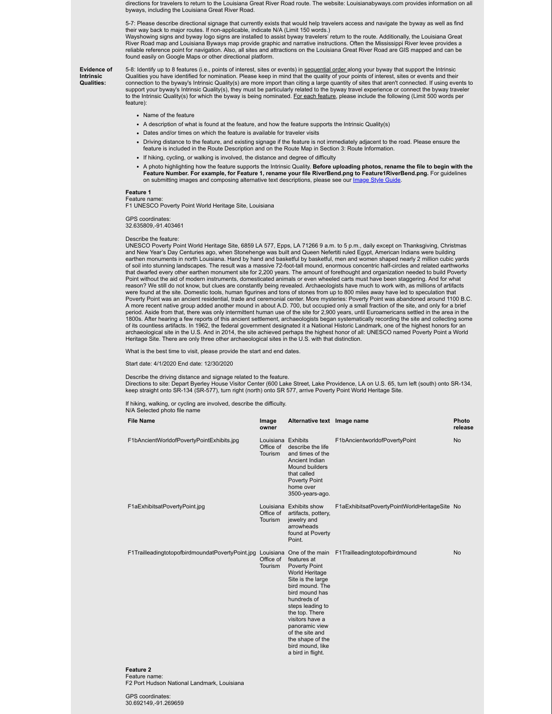directions for travelers to return to the Louisiana Great River Road route. The website: Louisianabyways.com provides information on all byways, including the Louisiana Great River Road.

5-7: Please describe directional signage that currently exists that would help travelers access and navigate the byway as well as find their way back to major routes. If non-applicable, indicate N/A (Limit 150 words.) Wayshowing signs and byway logo signs are installed to assist byway travelers' return to the route. Additionally, the Louisiana Great

River Road map and Louisiana Byways map provide graphic and narrative instructions. Often the Mississippi River levee provides a reliable reference point for navigation. Also, all sites and attractions on the Louisiana Great River Road are GIS mapped and can be found easily on Google Maps or other directional platform.

#### **Evidence of Intrinsic Qualities:**

5-8: Identify up to 8 features (i.e., points of interest, sites or events) in <u>sequential order a</u>long your byway that support the Intrinsic<br>Qualities you have identified for nomination. Please keep in mind that the qualit connection to the byway's Intrinsic Quality(s) are more import than citing a large quantity of sites that aren't connected. If using events to support your byway's Intrinsic Quality(s), they must be particularly related to the byway travel experience or connect the byway traveler to the Intrinsic Quality(s) for which the byway is being nominated. For each feature, please include the following (Limit 500 words per feature):

- Name of the feature
- A description of what is found at the feature, and how the feature supports the Intrinsic Quality(s)
- Dates and/or times on which the feature is available for traveler visits
- Driving distance to the feature, and existing signage if the feature is not immediately adjacent to the road. Please ensure the feature is included in the Route Description and on the Route Map in Section 3: Route Information.
- If hiking, cycling, or walking is involved, the distance and degree of difficulty
- A photo highlighting how the feature supports the Intrinsic Quality. **Before uploading photos, rename the file to begin with the Feature Number. For example, for Feature 1, rename your file RiverBend.png to Feature1RiverBend.png.** For guidelines on submitting images and composing alternative text descriptions, please see our *Image Style Guide*.

#### **Feature 1**

Feature name: F1 UNESCO Poverty Point World Heritage Site, Louisiana

GPS coordinates: 32.635809,-91.403461

#### Describe the feature:

UNESCO Poverty Point World Heritage Site, 6859 LA 577, Epps, LA 71266 9 a.m. to 5 p.m., daily except on Thanksgiving, Christmas and New Year's Day Centuries ago, when Stonehenge was built and Queen Nefertiti ruled Egypt, American Indians were building earthen monuments in north Louisiana. Hand by hand and basketful by basketful, men and women shaped nearly 2 million cubic yards of soil into stunning landscapes. The result was a massive 72-foot-tall mound, enormous concentric half-circles and related earthworks that dwarfed every other earthen monument site for 2,200 years. The amount of forethought and organization needed to build Poverty Point without the aid of modern instruments, domesticated animals or even wheeled carts must have been staggering. And for what reason? We still do not know, but clues are constantly being revealed. Archaeologists have much to work with, as millions of artifacts were found at the site. Domestic tools, human figurines and tons of stones from up to 800 miles away have led to speculation that Poverty Point was an ancient residential, trade and ceremonial center. More mysteries: Poverty Point was abandoned around 1100 B.C. A more recent native group added another mound in about A.D. 700, but occupied only a small fraction of the site, and only for a brief period. Aside from that, there was only intermittent human use of the site for 2,900 years, until Euroamericans settled in the area in the 1800s. After hearing a few reports of this ancient settlement, archaeologists began systematically recording the site and collecting some of its countless artifacts. In 1962, the federal government designated it a National Historic Landmark, one of the highest honors for an archaeological site in the U.S. And in 2014, the site achieved perhaps the highest honor of all: UNESCO named Poverty Point a World Heritage Site. There are only three other archaeological sites in the U.S. with that distinction.

What is the best time to visit, please provide the start and end dates.

Start date: 4/1/2020 End date: 12/30/2020

### Describe the driving distance and signage related to the feature.

Directions to site: Depart Byerley House Visitor Center (600 Lake Street, Lake Providence, LA on U.S. 65, turn left (south) onto SR-134, keep straight onto SR-134 (SR-577), turn right (north) onto SR 577, arrive Poverty Point World Heritage Site.

If hiking, walking, or cycling are involved, describe the difficulty.

N/A Selected photo file name

| <b>File Name</b>                                                                                          | Image<br>owner                             | Alternative text Image name                                                                                                                                                                                                                                                        |                                               | Photo<br>release |
|-----------------------------------------------------------------------------------------------------------|--------------------------------------------|------------------------------------------------------------------------------------------------------------------------------------------------------------------------------------------------------------------------------------------------------------------------------------|-----------------------------------------------|------------------|
| F1bAncientWorldofPovertyPointExhibits.jpg                                                                 | Louisiana Exhibits<br>Office of<br>Tourism | describe the life<br>and times of the<br>Ancient Indian<br>Mound builders<br>that called<br><b>Poverty Point</b><br>home over<br>3500-years-ago.                                                                                                                                   | F1bAncientworldofPovertyPoint                 | <b>No</b>        |
| F1aExhibitsatPovertyPoint.jpg                                                                             | Tourism                                    | Louisiana Exhibits show<br>Office of artifacts, pottery,<br>jewelry and<br>arrowheads<br>found at Poverty<br>Point.                                                                                                                                                                | F1aExhibitsatPovertyPointWorldHeritageSite No |                  |
| F1TrailleadingtotopofbirdmoundatPovertyPoint.jpg Louisiana One of the main F1Trailleadingtotopofbirdmound | Office of<br>Tourism                       | features at<br>Poverty Point<br>World Heritage<br>Site is the large<br>bird mound. The<br>bird mound has<br>hundreds of<br>steps leading to<br>the top. There<br>visitors have a<br>panoramic view<br>of the site and<br>the shape of the<br>bird mound, like<br>a bird in flight. |                                               | <b>No</b>        |
| Foaturo 2                                                                                                 |                                            |                                                                                                                                                                                                                                                                                    |                                               |                  |

# **Feature 2** Feature name:

F2 Port Hudson National Landmark, Louisiana

GPS coordinates: 30.692149,-91.269659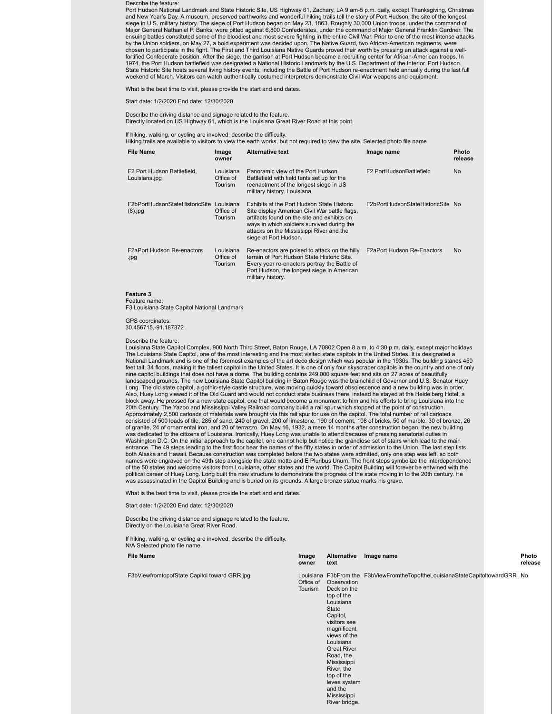Describe the feature:

Port Hudson National Landmark and State Historic Site, US Highway 61, Zachary, LA 9 am-5 p.m. daily, except Thanksgiving, Christmas and New Year's Day. A museum, preserved earthworks and wonderful hiking trails tell the story of Port Hudson, the site of the longest<br>siege in U.S. military history. The siege of Port Hudson began on May 23, 1863. Roughly Major General Nathaniel P. Banks, were pitted against 6,800 Confederates, under the command of Major General Franklin Gardner. The ensuing battles constituted some of the bloodiest and most severe fighting in the entire Civil War. Prior to one of the most intense attacks by the Union soldiers, on May 27, a bold experiment was decided upon. The Native Guard, two African-American regiments, were chosen to participate in the fight. The First and Third Louisiana Native Guards proved their worth by pressing an attack against a wellfortified Confederate position. After the siege, the garrison at Port Hudson became a recruiting center for African-American troops. In 1974, the Port Hudson battlefield was designated a National Historic Landmark by the U.S. Department of the Interior. Port Hudson State Historic Site hosts several living history events, including the Battle of Port Hudson re-enactment held annually during the last full<br>weekend of March. Visitors can watch authentically costumed interpreters demonstr

What is the best time to visit, please provide the start and end dates.

Start date: 1/2/2020 End date: 12/30/2020

Describe the driving distance and signage related to the feature. Directly located on US Highway 61, which is the Louisiana Great River Road at this point.

If hiking, walking, or cycling are involved, describe the difficulty.<br>Hiking trails are available to visitors to view the earth works, but not required to view the site. Selected photo file name

| <b>File Name</b>                                         | Image<br>owner                    | <b>Alternative text</b>                                                                                                                                                                                                                                       | Image name                        | <b>Photo</b><br>release |
|----------------------------------------------------------|-----------------------------------|---------------------------------------------------------------------------------------------------------------------------------------------------------------------------------------------------------------------------------------------------------------|-----------------------------------|-------------------------|
| F <sub>2</sub> Port Hudson Battlefield.<br>Louisiana.jpg | Louisiana<br>Office of<br>Tourism | Panoramic view of the Port Hudson<br>Battlefield with field tents set up for the<br>reenactment of the longest siege in US<br>military history. Louisiana                                                                                                     | F2 PortHudsonBattlefield          | <b>No</b>               |
| F2bPortHudsonStateHistoricSite Louisiana<br>$(8)$ . jpg  | Office of<br><b>Tourism</b>       | Exhibits at the Port Hudson State Historic<br>Site display American Civil War battle flags,<br>artifacts found on the site and exhibits on<br>ways in which soldiers survived during the<br>attacks on the Mississippi River and the<br>siege at Port Hudson. | F2bPortHudsonStateHistoricSite No |                         |
| <b>F2aPort Hudson Re-enactors</b><br>.jpg                | Louisiana<br>Office of<br>Tourism | Re-enactors are poised to attack on the hilly<br>terrain of Port Hudson State Historic Site.<br>Every year re-enactors portray the Battle of<br>Port Hudson, the longest siege in American<br>military history.                                               | <b>F2aPort Hudson Re-Enactors</b> | <b>No</b>               |

**Feature 3**

Feature name: F3 Louisiana State Capitol National Landmark

GPS coordinates: 30.456715,-91.187372

Describe the feature:

Louisiana State Capitol Complex, 900 North Third Street, Baton Rouge, LA 70802 Open 8 a.m. to 4:30 p.m. daily, except major holidays The Louisiana State Capitol, one of the most interesting and the most visited state capitols in the United States. It is designated a National Landmark and is one of the foremost examples of the art deco design which was popular in the 1930s. The building stands 450<br>feet tall, 34 floors, making it the tallest capitol in the United States. It is one of on nine capitol buildings that does not have a dome. The building contains 249,000 square feet and sits on 27 acres of beautifully landscaped grounds. The new Louisiana State Capitol building in Baton Rouge was the brainchild of Governor and U.S. Senator Huey Long. The old state capitol, a gothic-style castle structure, was moving quickly toward obsolescence and a new building was in order Also, Huey Long viewed it of the Old Guard and would not conduct state business there, instead he stayed at the Heidelberg Hotel, a block away. He pressed for a new state capitol, one that would become a monument to him and his efforts to bring Louisiana into the 20th Century. The Yazoo and Mississippi Valley Railroad company build a rail spur which stopped at the point of construction.<br>Approximately 2,500 carloads of materials were brought via this rail spur for use on the capitol consisted of 500 loads of tile, 285 of sand, 240 of gravel, 200 of limestone, 190 of cement, 108 of bricks, 50 of marble, 30 of bronze, 26 of granite, 24 of ornamental iron, and 20 of terrazzo. On May 16, 1932, a mere 14 months after construction began, the new building was dedicated to the citizens of Louisiana. Ironically, Huey Long was unable to attend because of pressing senatorial duties in<br>Washington D.C. On the initial approach to the capitol, one cannot help but notice the grandio entrance. The 49 steps leading to the first floor bear the names of the fifty states in order of admission to the Union. The last step lists both Alaska and Hawaii. Because construction was completed before the two states were admitted, only one step was left, so both names were engraved on the 49th step alongside the state motto and E Pluribus Unum. The front steps symbolize the interdependence<br>of the 50 states and welcome visitors from Louisiana, other states and the world. The Capito political career of Huey Long. Long built the new structure to demonstrate the progress of the state moving in to the 20th century. He was assassinated in the Capitol Building and is buried on its grounds. A large bronze statue marks his grave.

What is the best time to visit, please provide the start and end dates.

Start date: 1/2/2020 End date: 12/30/2020

Describe the driving distance and signage related to the feature. Directly on the Louisiana Great River Road.

If hiking, walking, or cycling are involved, describe the difficulty. N/A Selected photo file name

| File Name                                    | Image<br>owner       | Alternative<br>text                                                                                                                                                                                                                                                                    | Image name                                                                    | Photo<br>release |
|----------------------------------------------|----------------------|----------------------------------------------------------------------------------------------------------------------------------------------------------------------------------------------------------------------------------------------------------------------------------------|-------------------------------------------------------------------------------|------------------|
| F3bViewfromtopofState Capitol toward GRR.jpg | Office of<br>Tourism | Observation<br>Deck on the<br>top of the<br>Louisiana<br><b>State</b><br>Capitol,<br>visitors see<br>magnificent<br>views of the<br>Louisiana<br><b>Great River</b><br>Road, the<br>Mississippi<br>River, the<br>top of the<br>levee system<br>and the<br>Mississippi<br>River bridge. | Louisiana F3bFrom the F3bViewFromtheTopoftheLouisianaStateCapitoltowardGRR No |                  |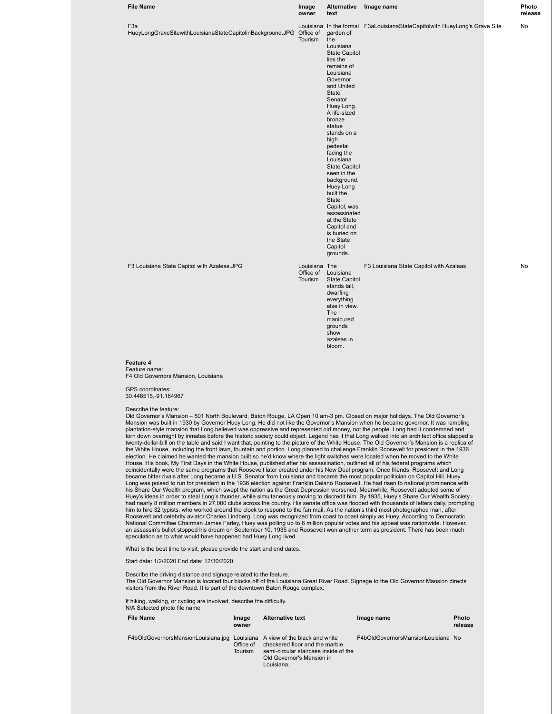| <b>File Name</b>                                                                                                                                                                                                                                                                                                                                                                                                                                                                                                                                                                                                                                                                                                                                                                                                                                                                                                                                                                  | Image<br>owner                        | Alternative<br>text                                                                                                                                                                                                                                                                                                                                                                                                                                                    | Image name                                                                 | Photo<br>release |
|-----------------------------------------------------------------------------------------------------------------------------------------------------------------------------------------------------------------------------------------------------------------------------------------------------------------------------------------------------------------------------------------------------------------------------------------------------------------------------------------------------------------------------------------------------------------------------------------------------------------------------------------------------------------------------------------------------------------------------------------------------------------------------------------------------------------------------------------------------------------------------------------------------------------------------------------------------------------------------------|---------------------------------------|------------------------------------------------------------------------------------------------------------------------------------------------------------------------------------------------------------------------------------------------------------------------------------------------------------------------------------------------------------------------------------------------------------------------------------------------------------------------|----------------------------------------------------------------------------|------------------|
| F <sub>3</sub> a<br>HueyLongGraveSitewithLouisianaStateCapitolinBackground.JPG Office of                                                                                                                                                                                                                                                                                                                                                                                                                                                                                                                                                                                                                                                                                                                                                                                                                                                                                          | Tourism                               | garden of<br>the<br>Louisiana<br><b>State Capitol</b><br>lies the<br>remains of<br>Louisiana<br>Governor<br>and United<br>State<br>Senator<br>Huey Long.<br>A life-sized<br>bronze<br>statue<br>stands on a<br>high<br>pedestal<br>facing the<br>Louisiana<br><b>State Capitol</b><br>seen in the<br>background.<br>Huey Long<br>built the<br>State<br>Capitol, was<br>assassinated<br>at the State<br>Capitol and<br>is buried on<br>the State<br>Capitol<br>grounds. | Louisiana In the formal F3aLouisianaStateCapitolwith HueyLong's Grave Site | No               |
| F3 Louisiana State Capitol with Azaleas.JPG                                                                                                                                                                                                                                                                                                                                                                                                                                                                                                                                                                                                                                                                                                                                                                                                                                                                                                                                       | Louisiana The<br>Office of<br>Tourism | Louisiana<br><b>State Capitol</b><br>stands tall,<br>dwarfing<br>everything<br>else in view.<br>The<br>manicured<br>grounds<br>show<br>azaleas in<br>bloom.                                                                                                                                                                                                                                                                                                            | F3 Louisiana State Capitol with Azaleas                                    | No               |
| Feature 4<br>Feature name:<br>F4 Old Governors Mansion, Louisiana<br><b>GPS</b> coordinates:<br>30.446515, -91.184967<br>Describe the feature:<br>Old Governor's Mansion - 501 North Boulevard, Baton Rouge, LA Open 10 am-3 pm. Closed on major holidays. The Old Governor's<br>Mansion was built in 1930 by Governor Huey Long. He did not like the Governor's Mansion when he became governor. It was rambling                                                                                                                                                                                                                                                                                                                                                                                                                                                                                                                                                                 |                                       |                                                                                                                                                                                                                                                                                                                                                                                                                                                                        |                                                                            |                  |
| plantation-style mansion that Long believed was oppressive and represented old money, not the people. Long had it condemned and<br>torn down overnight by inmates before the historic society could object. Legend has it that Long walked into an architect office slapped a<br>twenty-dollar-bill on the table and said I want that, pointing to the picture of the White House. The Old Governor's Mansion is a replica of<br>the White House, including the front lawn, fountain and portico. Long planned to challenge Franklin Roosevelt for president in the 1936<br>election. He claimed he wanted the mansion built so he'd know where the light switches were located when he moved to the White<br>House. His book, My First Days in the White House, published after his assassination, outlined all of his federal programs which<br>coincidentally were the same programs that Roosevelt later created under his New Deal program. Once friends, Roosevelt and Long |                                       |                                                                                                                                                                                                                                                                                                                                                                                                                                                                        |                                                                            |                  |

coincidentally were the same programs that Roosevelt later created under his New Deal program. Once friends, Roosevelt and Long<br>became bitter rivals after Long became a U.S. Senator from Louisiana and became the most popul his Share Our Wealth program, which swept the nation as the Great Depression worsened. Meanwhile, Roosevelt adopted some of Huey's ideas in order to steal Long's thunder, while simultaneously moving to discredit him. By 1935, Huey's Share Our Wealth Society<br>had nearly 8 million members in 27,000 clubs across the country. His senate office was f him to hire 32 typists, who worked around the clock to respond to the fan mail. As the nation's third most photographed man, after Roosevelt and celebrity aviator Charles Lindberg, Long was recognized from coast to coast simply as Huey. According to Democratic National Committee Chairman James Farley, Huey was polling up to 6 million popular votes and his appeal was nationwide. However,<br>an assassin's bullet stopped his dream on September 10, 1935 and Roosevelt won another term a

What is the best time to visit, please provide the start and end dates.

Start date: 1/2/2020 End date: 12/30/2020

Describe the driving distance and signage related to the feature. The Old Governor Mansion is located four blocks off of the Louisiana Great River Road. Signage to the Old Governor Mansion directs

visitors from the River Road. It is part of the downtown Baton Rouge complex.

If hiking, walking, or cycling are involved, describe the difficulty. N/A Selected photo file name

| File Name                                                                   | Image<br>owner              | <b>Alternative text</b>                                                                                            | Image name                         | Photo<br>release |
|-----------------------------------------------------------------------------|-----------------------------|--------------------------------------------------------------------------------------------------------------------|------------------------------------|------------------|
| F4bOldGovernorsMansionLouisiana.jpg Louisiana A view of the black and white | Office of<br><b>Tourism</b> | checkered floor and the marble<br>semi-circular staircase inside of the<br>Old Governor's Mansion in<br>Louisiana. | F4bOldGovernorsMansionLouisiana No |                  |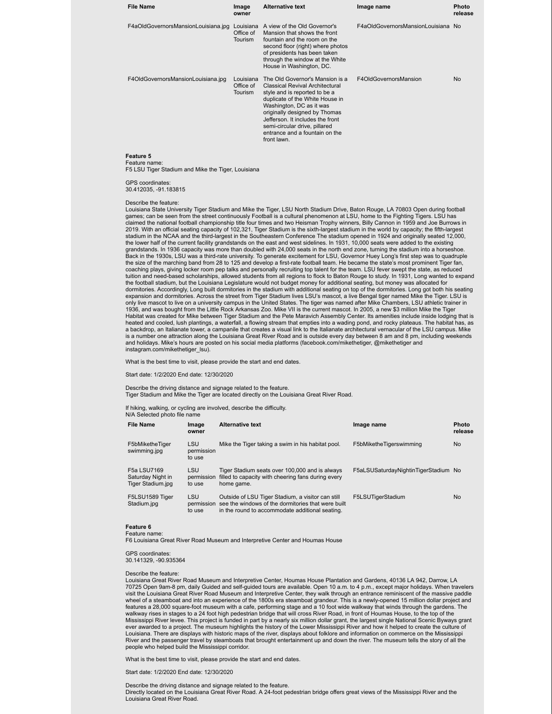| <b>File Name</b>                                                                                                                                                                                                                                                                            | Image<br>owner                           | <b>Alternative text</b>                                                                                                                                                                                                                                                                                                          | Image name                         | Photo<br>release |  |
|---------------------------------------------------------------------------------------------------------------------------------------------------------------------------------------------------------------------------------------------------------------------------------------------|------------------------------------------|----------------------------------------------------------------------------------------------------------------------------------------------------------------------------------------------------------------------------------------------------------------------------------------------------------------------------------|------------------------------------|------------------|--|
| F4aOldGovernorsMansionLouisiana.jpg                                                                                                                                                                                                                                                         | Louisiana<br>Office of<br><b>Tourism</b> | A view of the Old Governor's<br>Mansion that shows the front<br>fountain and the room on the<br>second floor (right) where photos<br>of presidents has been taken<br>through the window at the White<br>House in Washington, DC.                                                                                                 | F4aOldGovernorsMansionLouisiana No |                  |  |
| F4OldGovernorsMansionLouisiana.jpg                                                                                                                                                                                                                                                          | Louisiana<br>Office of<br>Tourism        | The Old Governor's Mansion is a<br><b>Classical Revival Architectural</b><br>style and is reported to be a<br>duplicate of the White House in<br>Washington, DC as it was<br>originally designed by Thomas<br>Jefferson. It includes the front<br>semi-circular drive, pillared<br>entrance and a fountain on the<br>front lawn. | F4OldGovernorsMansion              | <b>No</b>        |  |
| Feature 5<br>Feature name:<br>F5 LSU Tiger Stadium and Mike the Tiger, Louisiana                                                                                                                                                                                                            |                                          |                                                                                                                                                                                                                                                                                                                                  |                                    |                  |  |
| GPS coordinates:<br>30.412035, -91.183815                                                                                                                                                                                                                                                   |                                          |                                                                                                                                                                                                                                                                                                                                  |                                    |                  |  |
| Describe the feature:<br>Louisiana State University Tiger Stadium and Mike the Tiger, LSU North Stadium Drive, Baton Rouge, LA 70803 Open during football<br>comes ean he seen from the street centinuously Easthall is a sultural phonomenan of LCU, home to the Fighting Tigera, LCU hope |                                          |                                                                                                                                                                                                                                                                                                                                  |                                    |                  |  |

games; can be seen from the street continuously Football is a cultural phenomenon at LSU, home to the Fighting Tigers. LSU has claimed the national football championship title four times and two Heisman Trophy winners, Billy Cannon in 1959 and Joe Burrows in 2019. With an official seating capacity of 102,321, Tiger Stadium is the sixth-largest stadium in the world by capacity; the fifth-largest<br>stadium in the NCAA and the third-largest in the Southeastern Conference The stadiu the lower half of the current facility grandstands on the east and west sidelines. In 1931, 10,000 seats were added to the existing grandstands. In 1936 capacity was more than doubled with 24,000 seats in the north end zone, turning the stadium into a horseshoe. Back in the 1930s, LSU was a third-rate university. To generate excitement for LSU, Governor Huey Long's first step was to quadruple the size of the marching band from 28 to 125 and develop a first-rate football team. He became the state's most prominent Tiger fan, coaching plays, giving locker room pep talks and personally recruiting top talent for the team. LSU fever swept the state, as reduced tuition and need-based scholarships, allowed students from all regions to flock to Baton Rouge to study. In 1931, Long wanted to expand the football stadium, but the Louisiana Legislature would not budget money for additional seating, but money was allocated for dormitories. Accordingly, Long built dormitories in the stadium with additional seating on top of the dormitories. Long got both his seating expansion and dormitories. Across the street from Tiger Stadium lives LSU's mascot, a live Bengal tiger named Mike the Tiger. LSU is<br>only live mascot to live on a university campus in the United States. The tiger was named 1936, and was bought from the Little Rock Arkansas Zoo. Mike VII is the current mascot. In 2005, a new \$3 million Mike the Tiger Habitat was created for Mike between Tiger Stadium and the Pete Maravich Assembly Center. Its amenities include inside lodging that is heated and cooled, lush plantings, a waterfall, a flowing stream that empties into a wading pond, and rocky plateaus. The habitat has, as a backdrop, an Italianate tower, a campanile that creates a visual link to the Italianate architectural vernacular of the LSU campus. Mike<br>is a number one attraction along the Louisiana Great River Road and is outside ever and holidays. Mike's hours are posted on his social media platforms (facebook.com/mikethetiger, @mikethetiger and instagram.com/mikethetiger\_lsu).

What is the best time to visit, please provide the start and end dates.

Start date: 1/2/2020 End date: 12/30/2020

Describe the driving distance and signage related to the feature. Tiger Stadium and Mike the Tiger are located directly on the Louisiana Great River Road.

If hiking, walking, or cycling are involved, describe the difficulty.

| <b>File Name</b>                                      | Image<br>owner                     | <b>Alternative text</b>                                                                                                                                    | Image name                           | Photo<br>release |
|-------------------------------------------------------|------------------------------------|------------------------------------------------------------------------------------------------------------------------------------------------------------|--------------------------------------|------------------|
| F5bMiketheTiger<br>swimming.jpg                       | <b>LSU</b><br>permission<br>to use | Mike the Tiger taking a swim in his habitat pool.                                                                                                          | F5bMiketheTigerswimming              | <b>No</b>        |
| F5a LSU7169<br>Saturday Night in<br>Tiger Stadium.jpg | <b>LSU</b><br>permission<br>to use | Tiger Stadium seats over 100,000 and is always<br>filled to capacity with cheering fans during every<br>home game.                                         | F5aLSUSaturdayNightinTigerStadium No |                  |
| F5LSU1589 Tiger<br>Stadium.jpg                        | <b>LSU</b><br>permission<br>to use | Outside of LSU Tiger Stadium, a visitor can still<br>see the windows of the dormitories that were built<br>in the round to accommodate additional seating. | F5LSUTigerStadium                    | <b>No</b>        |

#### **Feature 6** Feature name:

F6 Louisiana Great River Road Museum and Interpretive Center and Houmas House

GPS coordinates: 30.141329, -90.935364

Describe the feature:

Louisiana Great River Road Museum and Interpretive Center, Houmas House Plantation and Gardens, 40136 LA 942, Darrow, LA 70725 Open 9am-8 pm, daily Guided and self-guided tours are available. Open 10 a.m. to 4 p.m., except major holidays. When travelers visit the Louisiana Great River Road Museum and Interpretive Center, they walk through an entrance reminiscent of the massive paddle wheel of a steamboat and into an experience of the 1800s era steamboat grandeur. This is a newly-opened 15 million dollar project and<br>features a 28,000 square-foot museum with a cafe, performing stage and a 10 foot wide wa walkway rises in stages to a 24 foot high pedestrian bridge that will cross River Road, in front of Houmas House, to the top of the Mississippi River levee. This project is funded in part by a nearly six million dollar grant, the largest single National Scenic Byways grant<br>ever awarded to a project. The museum highlights the history of the Lower Missis Louisiana. There are displays with historic maps of the river, displays about folklore and information on commerce on the Mississippi River and the passenger travel by steamboats that brought entertainment up and down the river. The museum tells the story of all the people who helped build the Mississippi corridor.

What is the best time to visit, please provide the start and end dates.

Start date: 1/2/2020 End date: 12/30/2020

Describe the driving distance and signage related to the feature.<br>Directly located on the Louisiana Great River Road. A 24-foot pedestrian bridge offers great views of the Mississippi River and the Louisiana Great River Road.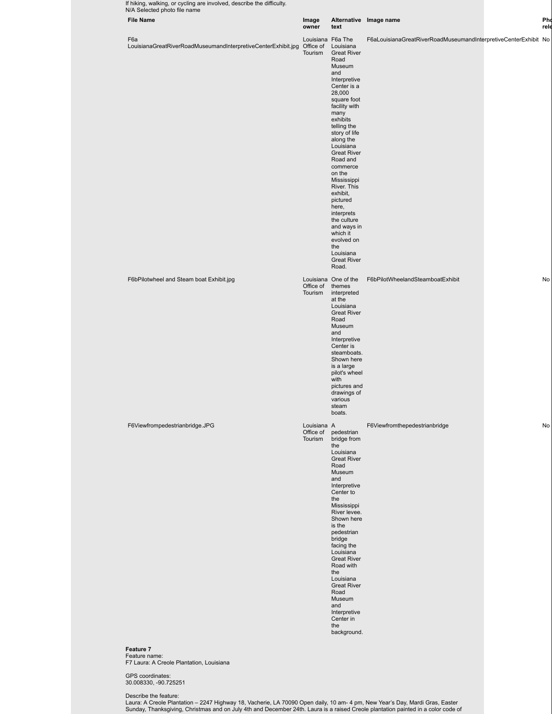| <b>File Name</b>                                                     | Image<br>owner                            | text                                                                                                                                                                                                                                                                                                                                                                                                                                                            | Alternative Image name                                          |
|----------------------------------------------------------------------|-------------------------------------------|-----------------------------------------------------------------------------------------------------------------------------------------------------------------------------------------------------------------------------------------------------------------------------------------------------------------------------------------------------------------------------------------------------------------------------------------------------------------|-----------------------------------------------------------------|
| F6a<br>LouisianaGreatRiverRoadMuseumandInterpretiveCenterExhibit.jpg | Louisiana F6a The<br>Office of<br>Tourism | Louisiana<br><b>Great River</b><br>Road<br>Museum<br>and<br>Interpretive<br>Center is a<br>28,000<br>square foot<br>facility with<br>many<br>exhibits<br>telling the<br>story of life<br>along the<br>Louisiana<br><b>Great River</b><br>Road and<br>commerce<br>on the<br>Mississippi<br>River. This<br>exhibit,<br>pictured<br>here,<br>interprets<br>the culture<br>and ways in<br>which it<br>evolved on<br>the<br>Louisiana<br><b>Great River</b><br>Road. | F6aLouisianaGreatRiverRoadMuseumandInterpretiveCenterExhibit No |
| F6bPilotwheel and Steam boat Exhibit.jpg                             | Office of themes<br>Tourism               | Louisiana One of the<br>interpreted<br>at the<br>Louisiana<br><b>Great River</b><br>Road<br>Museum<br>and<br>Interpretive<br>Center is<br>steamboats.<br>Shown here<br>is a large<br>pilot's wheel<br>with<br>pictures and<br>drawings of<br>various<br>steam<br>boats.                                                                                                                                                                                         | F6bPilotWheelandSteamboatExhibit                                |
| F6Viewfrompedestrianbridge.JPG                                       | Louisiana A<br>Office of<br>Tourism       | pedestrian<br>bridge from<br>the<br>Louisiana<br><b>Great River</b><br>Road<br>Museum<br>and<br>Interpretive<br>Center to<br>the<br>Mississippi<br>River levee.<br>Shown here<br>is the<br>pedestrian<br>bridge<br>facing the<br>Louisiana<br><b>Great River</b><br>Road with<br>the<br>Louisiana<br><b>Great River</b><br>Road<br>Museum<br>and<br>Interpretive<br>Center in<br>the<br>background.                                                             | F6Viewfromthepedestrianbridge                                   |
| Feature 7<br>Feature name:                                           |                                           |                                                                                                                                                                                                                                                                                                                                                                                                                                                                 |                                                                 |
| F7 Laura: A Creole Plantation, Louisiana                             |                                           |                                                                                                                                                                                                                                                                                                                                                                                                                                                                 |                                                                 |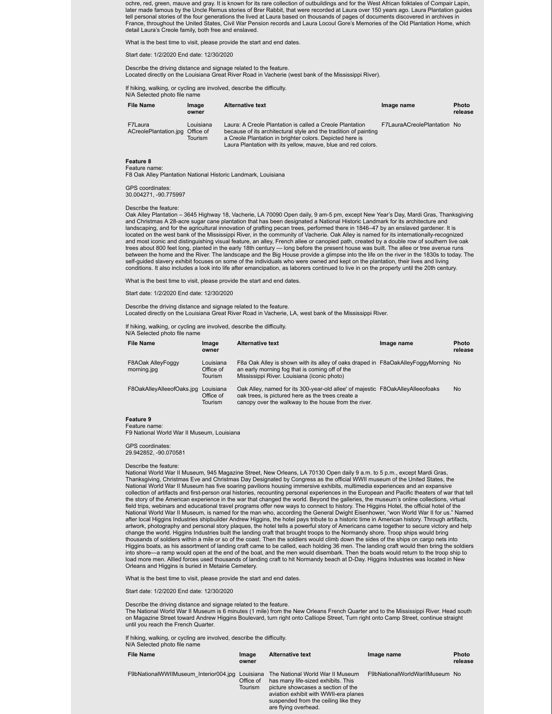ochre, red, green, mauve and gray. It is known for its rare collection of outbuildings and for the West African folktales of Compair Lapin, later made famous by the Uncle Remus stories of Brer Rabbit, that were recorded at Laura over 150 years ago. Laura Plantation guides tell personal stories of the four generations the lived at Laura based on thousands of pages of documents discovered in archives in<br>France, throughout the United States, Civil War Pension records and Laura Locoul Gore's Me detail Laura's Creole family, both free and enslaved.

What is the best time to visit, please provide the start and end dates.

Start date: 1/2/2020 End date: 12/30/2020

Describe the driving distance and signage related to the feature. Located directly on the Louisiana Great River Road in Vacherie (west bank of the Mississippi River).

If hiking, walking, or cycling are involved, describe the difficulty.

N/A Selected photo file name

| <b>File Name</b>                           | Image<br>owner              | <b>Alternative text</b>                                                                                                                                                                                                                                   | Image name                  | <b>Photo</b><br>release |
|--------------------------------------------|-----------------------------|-----------------------------------------------------------------------------------------------------------------------------------------------------------------------------------------------------------------------------------------------------------|-----------------------------|-------------------------|
| F7Laura<br>ACreolePlantation.jpg Office of | Louisiana<br><b>Tourism</b> | Laura: A Creole Plantation is called a Creole Plantation<br>because of its architectural style and the tradition of painting<br>a Creole Plantation in brighter colors. Depicted here is<br>Laura Plantation with its yellow, mauve, blue and red colors. | F7LauraACreolePlantation No |                         |

# **Feature 8**

Feature name: F8 Oak Alley Plantation National Historic Landmark, Louisiana

#### GPS coordinates:

30.004271, -90.775997

#### Describe the feature:

Oak Alley Plantation – 3645 Highway 18, Vacherie, LA 70090 Open daily, 9 am-5 pm, except New Year's Day, Mardi Gras, Thanksgiving and Christmas A 28-acre sugar cane plantation that has been designated a National Historic Landmark for its architecture and landscaping, and for the agricultural innovation of grafting pecan trees, performed there in 1846–47 by an enslaved gardener. It is<br>located on the west bank of the Mississippi River, in the community of Vacherie. Oak Alley and most iconic and distinguishing visual feature, an alley, French allee or canopied path, created by a double row of southern live oak trees about 800 feet long, planted in the early 18th century — long before the present house was built. The allee or tree avenue runs between the home and the River. The landscape and the Big House provide a glimpse into the life on the river in the 1830s to today. The self-guided slavery exhibit focuses on some of the individuals who were owned and kept on the plantation, their lives and living conditions. It also includes a look into life after emancipation, as laborers continued to live in on the property until the 20th century.

What is the best time to visit, please provide the start and end dates.

Start date: 1/2/2020 End date: 12/30/2020

Describe the driving distance and signage related to the feature. Located directly on the Louisiana Great River Road in Vacherie, LA, west bank of the Mississippi River.

If hiking, walking, or cycling are involved, describe the difficulty.

N/A Selected photo file name

| <b>File Name</b>                    | Image<br>owner                    | <b>Alternative text</b>                                                                                                                                                                     | Image name | <b>Photo</b><br>release |
|-------------------------------------|-----------------------------------|---------------------------------------------------------------------------------------------------------------------------------------------------------------------------------------------|------------|-------------------------|
| F8AOak AlleyFoggy<br>morning.jpg    | Louisiana<br>Office of<br>Tourism | F8a Oak Alley is shown with its alley of oaks draped in F8aOakAlleyFoggyMorning No<br>an early morning fog that is coming off of the<br>Mississippi River. Louisiana (iconic photo)         |            |                         |
| F8OakAlleyAlleeofOaks.jpg Louisiana | Office of<br>Tourism              | Oak Alley, named for its 300-year-old allee' of majestic F8OakAlleyAlleeofoaks<br>oak trees, is pictured here as the trees create a<br>canopy over the walkway to the house from the river. |            | No                      |

#### **Feature 9** Feature name:

F9 National World War II Museum, Louisiana

GPS coordinates: 29.942852, -90.070581

#### Describe the feature:

National World War II Museum, 945 Magazine Street, New Orleans, LA 70130 Open daily 9 a.m. to 5 p.m., except Mardi Gras,<br>Thanksgiving, Christmas Eve and Christmas Day Designated by Congress as the official WWII museum of t National World War II Museum has five soaring pavilions housing immersive exhibits, multimedia experiences and an expansive collection of artifacts and first-person oral histories, recounting personal experiences in the European and Pacific theaters of war that tell the story of the American experience in the war that changed the world. Beyond the galleries, the museum's online collections, virtual field trips, webinars and educational travel programs offer new ways to connect to history. The Higgins Hotel, the official hotel of the<br>National World War II Museum, is named for the man who, according the General Dwight after local Higgins Industries shipbuilder Andrew Higgins, the hotel pays tribute to a historic time in American history. Through artifacts, artwork, photography and personal story plaques, the hotel tells a powerful story of Americans came together to secure victory and help change the world. Higgins Industries built the landing craft that brought troops to the Normandy shore. Troop ships would bring thousands of soldiers within a mile or so of the coast. Then the soldiers would climb down the sides of the ships on cargo nets into Higgins boats, as his assortment of landing craft came to be called, each holding 36 men. The landing craft would then bring the soldiers into shore—a ramp would open at the end of the boat, and the men would disembark. Then the boats would return to the troop ship to load more men. Allied forces used thousands of landing craft to hit Normandy beach at D-Day. Higgins Industries was located in New Orleans and Higgins is buried in Metairie Cemetery.

What is the best time to visit, please provide the start and end dates.

Start date: 1/2/2020 End date: 12/30/2020

Describe the driving distance and signage related to the feature.

The National World War II Museum is 6 minutes (1 mile) from the New Orleans French Quarter and to the Mississippi River. Head south on Magazine Street toward Andrew Higgins Boulevard, turn right onto Calliope Street, Turn right onto Camp Street, continue straight until you reach the French Quarter.

If hiking, walking, or cycling are involved, describe the difficulty.

N/A Selected photo file name

| www.comported.priore internet         |                      |                                                                                                                                                                                                                                 |                                |                         |  |  |  |
|---------------------------------------|----------------------|---------------------------------------------------------------------------------------------------------------------------------------------------------------------------------------------------------------------------------|--------------------------------|-------------------------|--|--|--|
| <b>File Name</b>                      | Image<br>owner       | <b>Alternative text</b>                                                                                                                                                                                                         | Image name                     | <b>Photo</b><br>release |  |  |  |
| F9bNationalWWIIMuseum Interior004.jpg | Office of<br>Tourism | Louisiana The National World War II Museum<br>has many life-sized exhibits. This<br>picture showcases a section of the<br>aviation exhibit with WWII-era planes<br>suspended from the ceiling like they<br>are flying overhead. | F9bNationalWorldWarllMuseum No |                         |  |  |  |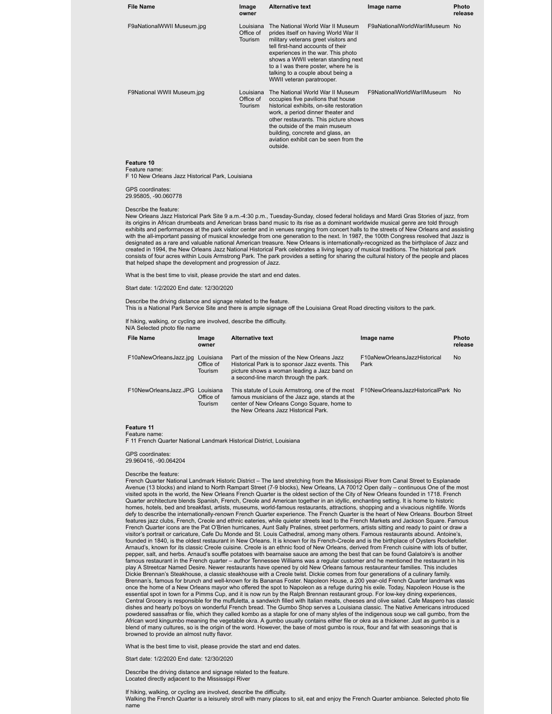| <b>File Name</b>                                                                                                                                                                                                                                                                                                                                                                                                                                                                                                                                                                                                                                                                                                                                                                                                                                                                                                                                                                                                                                                                      | Image<br>owner                           | <b>Alternative text</b>                                                                                                                                                                                                                                                                                                                     | Image name                     | <b>Photo</b><br>release |  |  |
|---------------------------------------------------------------------------------------------------------------------------------------------------------------------------------------------------------------------------------------------------------------------------------------------------------------------------------------------------------------------------------------------------------------------------------------------------------------------------------------------------------------------------------------------------------------------------------------------------------------------------------------------------------------------------------------------------------------------------------------------------------------------------------------------------------------------------------------------------------------------------------------------------------------------------------------------------------------------------------------------------------------------------------------------------------------------------------------|------------------------------------------|---------------------------------------------------------------------------------------------------------------------------------------------------------------------------------------------------------------------------------------------------------------------------------------------------------------------------------------------|--------------------------------|-------------------------|--|--|
| F9aNationalWWII Museum.jpg                                                                                                                                                                                                                                                                                                                                                                                                                                                                                                                                                                                                                                                                                                                                                                                                                                                                                                                                                                                                                                                            | Louisiana<br>Office of<br>Tourism        | The National World War II Museum<br>prides itself on having World War II<br>military veterans greet visitors and<br>tell first-hand accounts of their<br>experiences in the war. This photo<br>shows a WWII veteran standing next<br>to a I was there poster, where he is<br>talking to a couple about being a<br>WWII veteran paratrooper. | F9aNationalWorldWarlIMuseum No |                         |  |  |
| F9National WWII Museum.jpg                                                                                                                                                                                                                                                                                                                                                                                                                                                                                                                                                                                                                                                                                                                                                                                                                                                                                                                                                                                                                                                            | Louisiana<br>Office of<br><b>Tourism</b> | The National World War II Museum<br>occupies five pavilions that house<br>historical exhibits, on-site restoration<br>work, a period dinner theater and<br>other restaurants. This picture shows<br>the outside of the main museum<br>building, concrete and glass, an<br>aviation exhibit can be seen from the<br>outside.                 | F9NationalWorldWarlIMuseum     | No                      |  |  |
| Feature 10<br>Feature name:<br>F 10 New Orleans Jazz Historical Park, Louisiana                                                                                                                                                                                                                                                                                                                                                                                                                                                                                                                                                                                                                                                                                                                                                                                                                                                                                                                                                                                                       |                                          |                                                                                                                                                                                                                                                                                                                                             |                                |                         |  |  |
| <b>GPS</b> coordinates:<br>29.95805, -90.060778                                                                                                                                                                                                                                                                                                                                                                                                                                                                                                                                                                                                                                                                                                                                                                                                                                                                                                                                                                                                                                       |                                          |                                                                                                                                                                                                                                                                                                                                             |                                |                         |  |  |
| Describe the feature:<br>New Orleans Jazz Historical Park Site 9 a.m.-4:30 p.m., Tuesday-Sunday, closed federal holidays and Mardi Gras Stories of jazz, from<br>its origins in African drumbeats and American brass band music to its rise as a dominant worldwide musical genre are told through<br>exhibits and performances at the park visitor center and in venues ranging from concert halls to the streets of New Orleans and assisting<br>with the all-important passing of musical knowledge from one generation to the next. In 1987, the 100th Congress resolved that Jazz is<br>designated as a rare and valuable national American treasure. New Orleans is internationally-recognized as the birthplace of Jazz and<br>created in 1994, the New Orleans Jazz National Historical Park celebrates a living legacy of musical traditions. The historical park<br>consists of four acres within Louis Armstrong Park. The park provides a setting for sharing the cultural history of the people and places<br>that helped shape the development and progression of Jazz. |                                          |                                                                                                                                                                                                                                                                                                                                             |                                |                         |  |  |
| What is the best time to visit, please provide the start and end dates.                                                                                                                                                                                                                                                                                                                                                                                                                                                                                                                                                                                                                                                                                                                                                                                                                                                                                                                                                                                                               |                                          |                                                                                                                                                                                                                                                                                                                                             |                                |                         |  |  |

Start date: 1/2/2020 End date: 12/30/2020

Describe the driving distance and signage related to the feature. This is a National Park Service Site and there is ample signage off the Louisiana Great Road directing visitors to the park.

If hiking, walking, or cycling are involved, describe the difficulty. N/A Selected photo file name

| <b>File Name</b>                | Image<br>owner                           | <b>Alternative text</b>                                                                                                                                                                                                        | Image name                           | Photo<br>release |
|---------------------------------|------------------------------------------|--------------------------------------------------------------------------------------------------------------------------------------------------------------------------------------------------------------------------------|--------------------------------------|------------------|
| F10aNewOrleansJazz.jpg          | Louisiana<br>Office of<br><b>Tourism</b> | Part of the mission of the New Orleans Jazz<br>Historical Park is to sponsor Jazz events. This<br>picture shows a woman leading a Jazz band on<br>a second-line march through the park.                                        | F10aNewOrleansJazzHistorical<br>Park | <b>No</b>        |
| F10NewOrleansJazz.JPG Louisiana | Office of<br>Tourism                     | This statute of Louis Armstrong, one of the most F10NewOrleansJazzHistoricalPark No<br>famous musicians of the Jazz age, stands at the<br>center of New Orleans Congo Square, home to<br>the New Orleans Jazz Historical Park. |                                      |                  |

#### **Feature 11**

Feature name: F 11 French Quarter National Landmark Historical District, Louisiana

GPS coordinates:

29.960416, -90.064204

#### Describe the feature:

French Quarter National Landmark Historic District – The land stretching from the Mississippi River from Canal Street to Esplanade Avenue (13 blocks) and inland to North Rampart Street (7-9 blocks), New Orleans, LA 70012 Open daily – continuous One of the most visited spots in the world, the New Orleans French Quarter is the oldest section of the City of New Orleans founded in 1718. French Quarter architecture blends Spanish, French, Creole and American together in an idyllic, enchanting setting. It is home to historic homes, hotels, bed and breakfast, artists, museums, world-famous restaurants, attractions, shopping and a vivacious nightlife. Words<br>defy to describe the internationally-renown French Quarter experience. The French Quarter features jazz clubs, French, Creole and ethnic eateries, while quieter streets lead to the French Markets and Jackson Square. Famous French Quarter icons are the Pat O'Brien hurricanes, Aunt Sally Pralines, street performers, artists sitting and ready to paint or draw a visitor's portrait or caricature, Cafe Du Monde and St. Louis Cathedral, among many others. Famous restaurants abound. Antoine's, founded in 1840, is the oldest restaurant in New Orleans. It is known for its French-Creole and is the birthplace of Oysters Rockefeller. Arnaud's, known for its classic Creole cuisine. Creole is an ethnic food of New Orleans, derived from French cuisine with lots of butter, pepper, salt, and herbs. Arnaud's souffle potatoes with bearnaise sauce are among the best that can be found Galatoire's is another famous restaurant in the French quarter – author Tennessee Williams was a regular customer and he mentioned the restaurant in his play A Streetcar Named Desire. Newer restaurants have opened by old New Orleans famous restauranteur families. This includes Dickie Brennan's Steakhouse, a classic steakhouse with a Creole twist. Dickie comes from four generations of a culinary family. Brennan's, famous for brunch and well-known for its Bananas Foster. Napoleon House, a 200 year-old French Quarter landmark was once the home of a New Orleans mayor who offered the spot to Napoleon as a refuge during his exile. Today, Napoleon House is the essential spot in town for a Pimms Cup, and it is now run by the Ralph Brennan restaurant group. For low-key dining experiences, Central Grocery is responsible for the muffuletta, a sandwich filled with Italian meats, cheeses and olive salad. Cafe Maspero has classic dishes and hearty po'boys on wonderful French bread. The Gumbo Shop serves a Louisiana classic. The Native Americans introduced<br>powdered sassafras or file, which they called kombo as a staple for one of many styles of the African word kingumbo meaning the vegetable okra. A gumbo usually contains either file or okra as a thickener. Just as gumbo is a blend of many cultures, so is the origin of the word. However, the base of most gumbo is roux, flour and fat with seasonings that is browned to provide an almost nutty flavor.

What is the best time to visit, please provide the start and end dates.

Start date: 1/2/2020 End date: 12/30/2020

Describe the driving distance and signage related to the feature. Located directly adjacent to the Mississippi River

If hiking, walking, or cycling are involved, describe the difficulty.

Walking the French Quarter is a leisurely stroll with many places to sit, eat and enjoy the French Quarter ambiance. Selected photo file name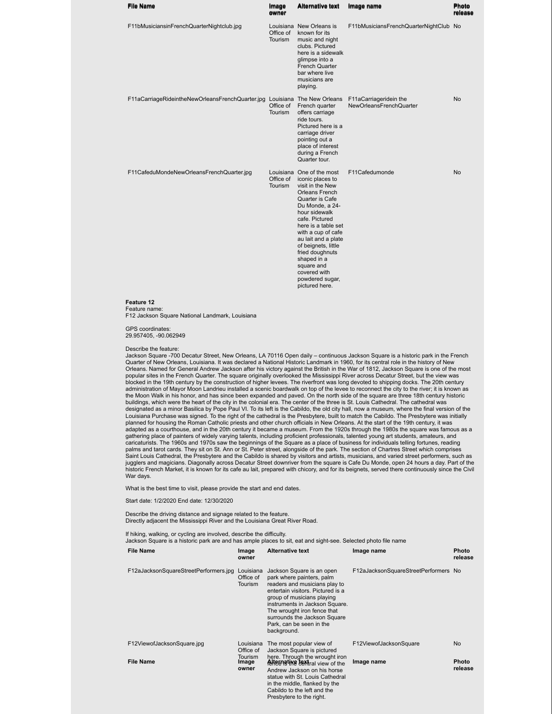| <b>File Name</b>                                                                                                                                                                                                                                                                                                                                                                                                                                                                                                                                                                                                                                                                                                                                                                                                                                                                                                                                                                                                                                                                                                                                                                                                                                                                                                                                                                                                                                                                                                                                                                                                                                                                                                                                                                                                                                                 | Image<br>owner              | <b>Alternative text</b>                                                                                                                                                                                                                                                                                                                                             | Image name                             | <b>Photo</b><br>release |  |  |  |
|------------------------------------------------------------------------------------------------------------------------------------------------------------------------------------------------------------------------------------------------------------------------------------------------------------------------------------------------------------------------------------------------------------------------------------------------------------------------------------------------------------------------------------------------------------------------------------------------------------------------------------------------------------------------------------------------------------------------------------------------------------------------------------------------------------------------------------------------------------------------------------------------------------------------------------------------------------------------------------------------------------------------------------------------------------------------------------------------------------------------------------------------------------------------------------------------------------------------------------------------------------------------------------------------------------------------------------------------------------------------------------------------------------------------------------------------------------------------------------------------------------------------------------------------------------------------------------------------------------------------------------------------------------------------------------------------------------------------------------------------------------------------------------------------------------------------------------------------------------------|-----------------------------|---------------------------------------------------------------------------------------------------------------------------------------------------------------------------------------------------------------------------------------------------------------------------------------------------------------------------------------------------------------------|----------------------------------------|-------------------------|--|--|--|
| F11bMusiciansinFrenchQuarterNightclub.jpg                                                                                                                                                                                                                                                                                                                                                                                                                                                                                                                                                                                                                                                                                                                                                                                                                                                                                                                                                                                                                                                                                                                                                                                                                                                                                                                                                                                                                                                                                                                                                                                                                                                                                                                                                                                                                        | Office of<br>Tourism        | Louisiana New Orleans is<br>known for its<br>music and night<br>clubs. Pictured<br>here is a sidewalk<br>glimpse into a<br>French Quarter<br>bar where live<br>musicians are<br>playing.                                                                                                                                                                            | F11bMusiciansFrenchQuarterNightClub No |                         |  |  |  |
| F11aCarriageRideintheNewOrleansFrenchQuarter.jpg Louisiana The New Orleans F11aCarriageridein the                                                                                                                                                                                                                                                                                                                                                                                                                                                                                                                                                                                                                                                                                                                                                                                                                                                                                                                                                                                                                                                                                                                                                                                                                                                                                                                                                                                                                                                                                                                                                                                                                                                                                                                                                                | Office of<br>Tourism        | French quarter<br>offers carriage<br>ride tours.<br>Pictured here is a<br>carriage driver<br>pointing out a<br>place of interest<br>during a French<br>Quarter tour.                                                                                                                                                                                                | NewOrleansFrenchQuarter                | <b>No</b>               |  |  |  |
| F11CafeduMondeNewOrleansFrenchQuarter.jpg                                                                                                                                                                                                                                                                                                                                                                                                                                                                                                                                                                                                                                                                                                                                                                                                                                                                                                                                                                                                                                                                                                                                                                                                                                                                                                                                                                                                                                                                                                                                                                                                                                                                                                                                                                                                                        | Office of<br><b>Tourism</b> | Louisiana One of the most<br>iconic places to<br>visit in the New<br><b>Orleans French</b><br>Quarter is Cafe<br>Du Monde, a 24-<br>hour sidewalk<br>cafe. Pictured<br>here is a table set<br>with a cup of cafe<br>au lait and a plate<br>of beignets, little<br>fried doughnuts<br>shaped in a<br>square and<br>covered with<br>powdered sugar,<br>pictured here. | F11Cafedumonde                         | <b>No</b>               |  |  |  |
| Feature 12<br>Feature name:<br>F12 Jackson Square National Landmark, Louisiana                                                                                                                                                                                                                                                                                                                                                                                                                                                                                                                                                                                                                                                                                                                                                                                                                                                                                                                                                                                                                                                                                                                                                                                                                                                                                                                                                                                                                                                                                                                                                                                                                                                                                                                                                                                   |                             |                                                                                                                                                                                                                                                                                                                                                                     |                                        |                         |  |  |  |
| <b>GPS</b> coordinates:<br>29.957405, -90.062949                                                                                                                                                                                                                                                                                                                                                                                                                                                                                                                                                                                                                                                                                                                                                                                                                                                                                                                                                                                                                                                                                                                                                                                                                                                                                                                                                                                                                                                                                                                                                                                                                                                                                                                                                                                                                 |                             |                                                                                                                                                                                                                                                                                                                                                                     |                                        |                         |  |  |  |
| Describe the feature:<br>Jackson Square -700 Decatur Street, New Orleans, LA 70116 Open daily – continuous Jackson Square is a historic park in the French<br>Quarter of New Orleans, Louisiana. It was declared a National Historic Landmark in 1960, for its central role in the history of New<br>Orleans. Named for General Andrew Jackson after his victory against the British in the War of 1812, Jackson Square is one of the most<br>popular sites in the French Quarter. The square originally overlooked the Mississippi River across Decatur Street, but the view was<br>blocked in the 19th century by the construction of higher levees. The riverfront was long devoted to shipping docks. The 20th century<br>administration of Mayor Moon Landrieu installed a scenic boardwalk on top of the levee to reconnect the city to the river; it is known as<br>the Moon Walk in his honor, and has since been expanded and paved. On the north side of the square are three 18th century historic<br>buildings, which were the heart of the city in the colonial era. The center of the three is St. Louis Cathedral. The cathedral was<br>designated as a minor Basilica by Pope Paul VI. To its left is the Cabildo, the old city hall, now a museum, where the final version of the<br>Louisiana Purchase was signed. To the right of the cathedral is the Presbytere, built to match the Cabildo. The Presbytere was initially<br>planned for housing the Roman Catholic priests and other church officials in New Orleans. At the start of the 19th century, it was<br>adapted as a courthouse, and in the 20th century it became a museum. From the 1920s through the 1980s the square was famous as a<br>is the rine alone of pointers of widely vening tolente, including areficient arefessionals, tolented vewer of dudents, ameteurs, and |                             |                                                                                                                                                                                                                                                                                                                                                                     |                                        |                         |  |  |  |

gathering place of painters of widely varying talents, including proficient professionals, talented young art students, amateurs, and<br>caricaturists. The 1960s and 1970s saw the beginnings of the Square as a place of busine War days.

What is the best time to visit, please provide the start and end dates.

Start date: 1/2/2020 End date: 12/30/2020

Describe the driving distance and signage related to the feature. Directly adjacent the Mississippi River and the Louisiana Great River Road.

If hiking, walking, or cycling are involved, describe the difficulty. Jackson Square is a historic park are and has ample places to sit, eat and sight-see. Selected photo file name

| <b>File Name</b>                      | Image<br>owner                    | <b>Alternative text</b>                                                                                                                                                                                                                                                                                | Image name                           | <b>Photo</b><br>release |
|---------------------------------------|-----------------------------------|--------------------------------------------------------------------------------------------------------------------------------------------------------------------------------------------------------------------------------------------------------------------------------------------------------|--------------------------------------|-------------------------|
| F12aJacksonSquareStreetPerformers.jpg | Louisiana<br>Office of<br>Tourism | Jackson Square is an open<br>park where painters, palm<br>readers and musicians play to<br>entertain visitors. Pictured is a<br>group of musicians playing<br>instruments in Jackson Square.<br>The wrought iron fence that<br>surrounds the Jackson Square<br>Park, can be seen in the<br>background. | F12aJacksonSquareStreetPerformers No |                         |
| F12ViewofJacksonSquare.jpg            | Louisiana<br>Office of<br>Tourism | The most popular view of<br>Jackson Square is pictured<br>here. Through the wrought iron                                                                                                                                                                                                               | F12ViewofJacksonSquare               | <b>No</b>               |
| <b>File Name</b>                      | Image<br>owner                    | Alternative textral view of the<br>Andrew Jackson on his horse<br>statue with St. Louis Cathedral<br>in the middle, flanked by the<br>Cabildo to the left and the<br>Presbytere to the right.                                                                                                          | Image name                           | <b>Photo</b><br>release |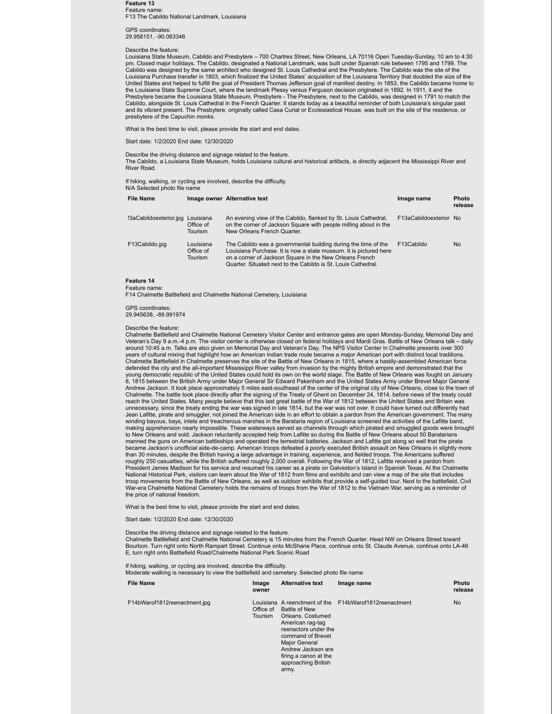**Feature 13** Feature name: F13 The Cabildo National Landmark, Louisiana

GPS coordinates: 29.958151, -90.063346

### Describe the feature:

Louisiana State Museum, Cabildo and Presbytere – 700 Chartres Street, New Orleans, LA 70116 Open Tuesday-Sunday, 10 am to 4:30 pm. Closed major holidays. The Cabildo, designated a National Landmark, was built under Spanish rule between 1795 and 1799. The Cabildo was designed by the same architect who designed St. Louis Cathedral and the Presbytere. The Cabildo was the site of the<br>Louisiana Purchase transfer in 1803, which finalized the United States' acquisition of the Lou United States and helped to fulfill the goal of President Thomas Jefferson goal of manifest destiny. In 1853, the Cabildo became home to the Louisiana State Supreme Court, where the landmark Plessy versus Ferguson decision originated in 1892. In 1911, it and the Presbytere became the Louisiana State Museum. Presbytere - The Presbytere, next to the Cabildo, was designed in 1791 to match the Cabildo, alongside St. Louis Cathedral in the French Quarter. It stands today as a beautiful reminder of both Louisiana's singular past and its vibrant present. The Presbytere, originally called Casa Curial or Ecclesiastical House, was built on the site of the residence, or presbytere of the Capuchin monks.

What is the best time to visit, please provide the start and end dates.

Start date: 1/2/2020 End date: 12/30/2020

Describe the driving distance and signage related to the feature. The Cabildo, a Louisiana State Museum, holds Louisiana cultural and historical artifacts, is directly adjacent the Mississippi River and River Road.

If hiking, walking, or cycling are involved, describe the difficulty. N/A Selected photo file name

|                        | <b>IVIA Selected prioto file righter</b> |                                                                                                                                                                                                                                                                 |                        |                         |  |  |  |  |
|------------------------|------------------------------------------|-----------------------------------------------------------------------------------------------------------------------------------------------------------------------------------------------------------------------------------------------------------------|------------------------|-------------------------|--|--|--|--|
| <b>File Name</b>       |                                          | Image owner Alternative text                                                                                                                                                                                                                                    | Image name             | <b>Photo</b><br>release |  |  |  |  |
| !3aCabildoexterior.jpg | Louisiana<br>Office of<br>Tourism        | An evening view of the Cabildo, flanked by St. Louis Cathedral,<br>on the corner of Jackson Square with people milling about in the<br>New Orleans French Quarter.                                                                                              | F13aCabildoexterior No |                         |  |  |  |  |
| F13Cabildo.jpg         | Louisiana<br>Office of<br><b>Tourism</b> | The Cabildo was a governmental building during the time of the<br>Louisiana Purchase. It is now a state museum. It is pictured here<br>on a corner of Jackson Square in the New Orleans French<br>Quarter. Situated next to the Cabildo is St. Louis Cathedral. | F13Cabildo             | <b>No</b>               |  |  |  |  |

#### **Feature 14** Feature name:

F14 Chalmette Battlefield and Chalmette National Cemetery, Louisiana

#### GPS coordinates:

29.945638, -89.991974

#### Describe the feature:

Chalmette Battlefield and Chalmette National Cemetery Visitor Center and entrance gates are open Monday-Sunday, Memorial Day and Veteran's Day 9 a.m.-4 p.m. The visitor center is otherwise closed on federal holidays and Mardi Gras. Battle of New Orleans talk – daily around 10:45 a.m. Talks are also given on Memorial Day and Veteran's Day. The NPS Visitor Center in Chalmette presents over 300 years of cultural mixing that highlight how an American Indian trade route became a major American port with distinct local traditions. Chalmette Battlefield in Chalmette preserves the site of the Battle of New Orleans in 1815, where a hastily-assembled American force defended the city and the all-important Mississippi River valley from invasion by the mighty British empire and demonstrated that the young democratic republic of the United States could hold its own on the world stage. The Battle of New Orleans was fought on January 8, 1815 between the British Army under Major General Sir Edward Pakenham and the United States Army under Brevet Major General Andrew Jackson. It took place approximately 5 miles east-southeast of the center of the original city of New Orleans, close to the town of Chalmette. The battle took place directly after the signing of the Treaty of Ghent on December 24, 1814, before news of the treaty could reach the United States. Many people believe that this last great battle of the War of 1812 between the United States and Britain was<br>unnecessary, since the treaty ending the war was signed in late 1814, but the war was no Jean Lafitte, pirate and smuggler, not joined the American side in an effort to obtain a pardon from the American government. The many winding bayous, bays, inlets and treacherous marshes in the Barataria region of Louisiana screened the activities of the Lafitte band, making apprehension nearly impossible. These waterways served as channels through which pirated and smuggled goods were brought to New Orleans and sold. Jackson reluctantly accepted help from Lafitte so during the Battle of New Orleans about 50 Baratarians manned the guns on American battleships and operated the terrestrial batteries. Jackson and Lafitte got along so well that the pirate<br>became Jackson's unofficial aide-de-camp. American troops defeated a poorly executed Bri than 30 minutes, despite the British having a large advantage in training, experience, and fielded troops. The Americans suffered roughly 250 casualties, while the British suffered roughly 2,000 overall. Following the War of 1812, Lafitte received a pardon from President James Madison for his service and resumed his career as a pirate on Galveston's Island in Spanish Texas. At the Chalmette National Historical Park, visitors can learn about the War of 1812 from films and exhibits and can view a map of the site that includes troop movements from the Battle of New Orleans, as well as outdoor exhibits that provide a self-guided tour. Next to the battlefield, Civil War-era Chalmette National Cemetery holds the remains of troops from the War of 1812 to the Vietnam War, serving as a reminder of the price of national freedom.

What is the best time to visit, please provide the start and end dates.

Start date: 1/2/2020 End date: 12/30/2020

#### Describe the driving distance and signage related to the feature.

Chalmette Battlefield and Chalmette National Cemetery is 15 minutes from the French Quarter. Head NW on Orleans Street toward Bourbon. Turn right onto North Rampart Street. Continue onto McShane Place, continue onto St. Claude Avenue, continue onto LA-46 E, turn right onto Battlefield Road/Chalmette National Park Scenic Road

If hiking, walking, or cycling are involved, describe the difficulty.

Moderate walking is necessary to view the battlefield and cemetery. Selected photo file name

| <b>File Name</b>             | Image<br>owner              | <b>Alternative text</b>                                                                                                                                                                                    | Image name                                              | Photo<br>release |
|------------------------------|-----------------------------|------------------------------------------------------------------------------------------------------------------------------------------------------------------------------------------------------------|---------------------------------------------------------|------------------|
| F14bWarof1812reenactment.jpg | Office of<br><b>Tourism</b> | Battle of New<br>Orleans, Costumed<br>American rag-tag<br>reenactors under the<br>command of Brevet<br><b>Major General</b><br>Andrew Jackson are<br>firing a canon at the<br>approaching British<br>army. | Louisiana A reenctment of the F14bWarof1812 reenactment | <b>No</b>        |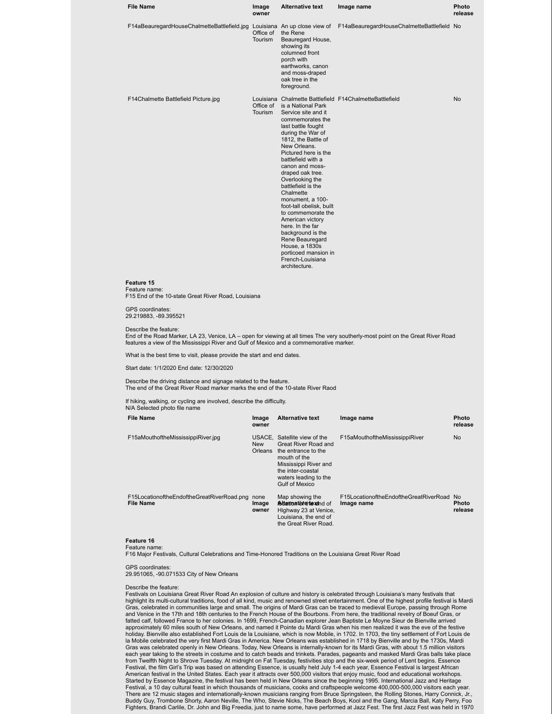|                                                                                                                                                                                                                                                                                                                                                                         | Image<br>owner       | <b>Alternative text</b>                                                                                                                                                                                                                                                                                                                                                                                                                                                                                                         | Image name                                              | Photo<br>release              |
|-------------------------------------------------------------------------------------------------------------------------------------------------------------------------------------------------------------------------------------------------------------------------------------------------------------------------------------------------------------------------|----------------------|---------------------------------------------------------------------------------------------------------------------------------------------------------------------------------------------------------------------------------------------------------------------------------------------------------------------------------------------------------------------------------------------------------------------------------------------------------------------------------------------------------------------------------|---------------------------------------------------------|-------------------------------|
| F14aBeauregardHouseChalmetteBattlefield.jpg Louisiana An up close view of                                                                                                                                                                                                                                                                                               | Office of<br>Tourism | the Rene<br>Beauregard House,<br>showing its<br>columned front<br>porch with<br>earthworks, canon<br>and moss-draped<br>oak tree in the<br>foreground.                                                                                                                                                                                                                                                                                                                                                                          | F14aBeauregardHouseChalmetteBattlefield No              |                               |
| F14Chalmette Battlefield Picture.jpg                                                                                                                                                                                                                                                                                                                                    | Office of<br>Tourism | is a National Park<br>Service site and it<br>commemorates the<br>last battle fought<br>during the War of<br>1812, the Battle of<br>New Orleans.<br>Pictured here is the<br>battlefield with a<br>canon and moss-<br>draped oak tree.<br>Overlooking the<br>battlefield is the<br>Chalmette<br>monument, a 100-<br>foot-tall obelisk, built<br>to commemorate the<br>American victory<br>here. In the far<br>background is the<br>Rene Beauregard<br>House, a 1830s<br>porticoed mansion in<br>French-Louisiana<br>architecture. | Louisiana Chalmette Battlefield F14ChalmetteBattlefield | No                            |
|                                                                                                                                                                                                                                                                                                                                                                         |                      |                                                                                                                                                                                                                                                                                                                                                                                                                                                                                                                                 |                                                         |                               |
| Feature 15<br>Feature name:                                                                                                                                                                                                                                                                                                                                             |                      |                                                                                                                                                                                                                                                                                                                                                                                                                                                                                                                                 |                                                         |                               |
| F15 End of the 10-state Great River Road, Louisiana<br>GPS coordinates:                                                                                                                                                                                                                                                                                                 |                      |                                                                                                                                                                                                                                                                                                                                                                                                                                                                                                                                 |                                                         |                               |
| 29.219883, -89.395521<br>Describe the feature:<br>End of the Road Marker, LA 23, Venice, LA – open for viewing at all times The very southerly-most point on the Great River Road                                                                                                                                                                                       |                      |                                                                                                                                                                                                                                                                                                                                                                                                                                                                                                                                 |                                                         |                               |
|                                                                                                                                                                                                                                                                                                                                                                         |                      |                                                                                                                                                                                                                                                                                                                                                                                                                                                                                                                                 |                                                         |                               |
|                                                                                                                                                                                                                                                                                                                                                                         |                      |                                                                                                                                                                                                                                                                                                                                                                                                                                                                                                                                 |                                                         |                               |
| features a view of the Mississippi River and Gulf of Mexico and a commemorative marker.<br>What is the best time to visit, please provide the start and end dates.<br>Start date: 1/1/2020 End date: 12/30/2020<br>Describe the driving distance and signage related to the feature.<br>The end of the Great River Road marker marks the end of the 10-state River Raod |                      |                                                                                                                                                                                                                                                                                                                                                                                                                                                                                                                                 |                                                         |                               |
| If hiking, walking, or cycling are involved, describe the difficulty.                                                                                                                                                                                                                                                                                                   |                      |                                                                                                                                                                                                                                                                                                                                                                                                                                                                                                                                 |                                                         |                               |
| <b>File Name</b>                                                                                                                                                                                                                                                                                                                                                        | Image<br>owner       | <b>Alternative text</b>                                                                                                                                                                                                                                                                                                                                                                                                                                                                                                         | Image name                                              |                               |
| N/A Selected photo file name<br>F15aMouthoftheMississippiRiver.jpg                                                                                                                                                                                                                                                                                                      | <b>New</b>           | USACE, Satellite view of the<br>Great River Road and<br>Orleans the entrance to the<br>mouth of the<br>Mississippi River and<br>the inter-coastal<br>waters leading to the<br><b>Gulf of Mexico</b>                                                                                                                                                                                                                                                                                                                             | F15aMouthoftheMississippiRiver                          | Photo<br>release<br><b>No</b> |

F16 Major Festivals, Cultural Celebrations and Time-Honored Traditions on the Louisiana Great River Road

GPS coordinates: 29.951065, -90.071533 City of New Orleans

#### Describe the feature:

Festivals on Louisiana Great River Road An explosion of culture and history is celebrated through Louisiana's many festivals that highlight its multi-cultural traditions, food of all kind, music and renowned street entertainment. One of the highest profile festival is Mardi<br>Gras, celebrated in communities large and small. The origins of Mardi Gras ca fatted calf, followed France to her colonies. In 1699, French-Canadian explorer Jean Baptiste Le Moyne Sieur de Bienville arrived approximately 60 miles south of New Orleans, and named it Pointe du Mardi Gras when his men realized it was the eve of the festive holiday. Bienville also established Fort Louis de la Louisiane, which is now Mobile, in 1702. In 1703, the tiny settlement of Fort Louis de<br>Ia Mobile celebrated the very first Mardi Gras in America. New Orleans was establi Gras was celebrated openly in New Orleans. Today, New Orleans is internally-known for its Mardi Gras, with about 1.5 million visitors each year taking to the streets in costume and to catch beads and trinkets. Parades, pageants and masked Mardi Gras balls take place from Twelfth Night to Shrove Tuesday. At midnight on Fat Tuesday, festivities stop and the six-week period of Lent begins. Essence Festival, the film Girl's Trip was based on attending Essence, is usually held July 1-4 each year, Essence Festival is largest African<br>American festival in the United States. Each year it attracts over 500,000 visitors tha Started by Essence Magazine, the festival has been held in New Orleans since the beginning 1995. International Jazz and Heritage Festival, a 10 day cultural feast in which thousands of musicians, cooks and craftspeople welcome 400,000-500,000 visitors each year. There are 12 music stages and internationally-known musicians ranging from Bruce Springsteen, the Rolling Stones, Harry Connick, Jr., Buddy Guy, Trombone Shorty, Aaron Neville, The Who, Stevie Nicks, The Beach Boys, Kool and the Gang, Marcia Ball, Katy Perry, Foo<br>Fighters, Brandi Carlile, Dr. John and Big Freedia, just to name some, have performed at Jaz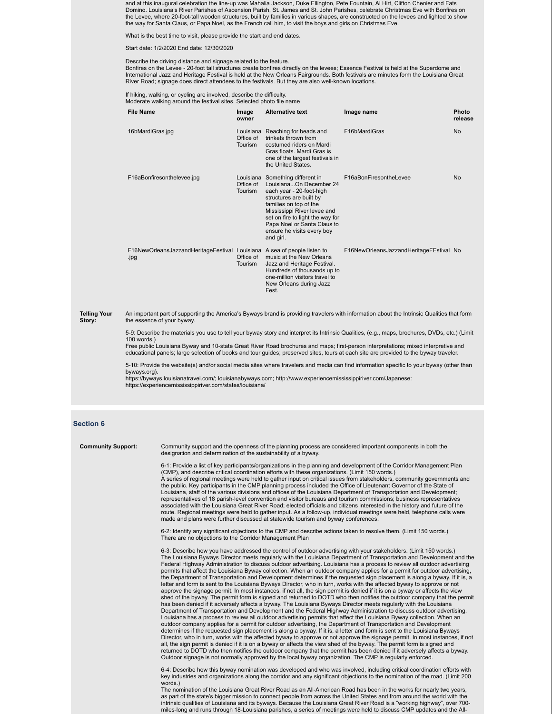and at this inaugural celebration the line-up was Mahalia Jackson, Duke Ellington, Pete Fountain, Al Hirt, Clifton Chenier and Fats<br>Domino. Louisiana's River Parishes of Ascension Parish, St. James and St. John Parishes, c the Levee, where 20-foot-tall wooden structures, built by families in various shapes, are constructed on the levees and lighted to show the way for Santa Claus, or Papa Noel, as the French call him, to visit the boys and girls on Christmas Eve.

What is the best time to visit, please provide the start and end dates.

Start date: 1/2/2020 End date: 12/30/2020

Describe the driving distance and signage related to the feature.

Bonfires on the Levee - 20-foot tall structures create bonfires directly on the levees; Essence Festival is held at the Superdome and International Jazz and Heritage Festival is held at the New Orleans Fairgrounds. Both festivals are minutes form the Louisiana Great River Road; signage does direct attendees to the festivals. But they are also well-known locations.

If hiking, walking, or cycling are involved, describe the difficulty. Moderate walking around the festival sites. Selected photo file name

| <b>File Name</b>                                                                                                                                                         | Image<br>owner       | <b>Alternative text</b>                                                                                                                                                                                                                                                                   | Image name                              | Photo<br>release |  |  |
|--------------------------------------------------------------------------------------------------------------------------------------------------------------------------|----------------------|-------------------------------------------------------------------------------------------------------------------------------------------------------------------------------------------------------------------------------------------------------------------------------------------|-----------------------------------------|------------------|--|--|
| 16bMardiGras.jpg                                                                                                                                                         | Office of<br>Tourism | Louisiana Reaching for beads and<br>trinkets thrown from<br>costumed riders on Mardi<br>Gras floats, Mardi Gras is<br>one of the largest festivals in<br>the United States.                                                                                                               | F16bMardiGras                           | <b>No</b>        |  |  |
| F16aBonfiresonthelevee.jpg                                                                                                                                               | Office of<br>Tourism | Louisiana Something different in<br>LouisianaOn December 24<br>each year - 20-foot-high<br>structures are built by<br>families on top of the<br>Mississippi River levee and<br>set on fire to light the way for<br>Papa Noel or Santa Claus to<br>ensure he visits every boy<br>and girl. | F16aBonFiresontheLevee                  | <b>No</b>        |  |  |
| F16NewOrleansJazzandHeritageFestival Louisiana A sea of people listen to<br>.jpg                                                                                         | Office of<br>Tourism | music at the New Orleans<br>Jazz and Heritage Festival.<br>Hundreds of thousands up to<br>one-million visitors travel to<br>New Orleans during Jazz<br>Fest.                                                                                                                              | F16NewOrleansJazzandHeritageFEstival No |                  |  |  |
| An important part of supporting the America's Byways brand is providing travelers with information about the Intrinsic Qualities that form<br>the essence of your byway. |                      |                                                                                                                                                                                                                                                                                           |                                         |                  |  |  |
| 5-9: Describe the materials you use to tell your byway story and interpret its Intrinsic Qualities, (e.g., maps, brochures, DVDs, etc.) (Limit                           |                      |                                                                                                                                                                                                                                                                                           |                                         |                  |  |  |

100 words.) Free public Louisiana Byway and 10-state Great River Road brochures and maps; first-person interpretations; mixed interpretive and<br>educational panels; large selection of books and tour guides; preserved sites, tours at eac

5-10: Provide the website(s) and/or social media sites where travelers and media can find information specific to your byway (other than byways.org).

https://byways.louisianatravel.com/; louisianabyways.com; http://www.experiencemississippiriver.com/Japanese: https://experiencemississippiriver.com/states/louisiana/

#### **Section 6**

**Telling You Story:**

| <b>Community Support:</b> | Community support and the openness of the planning process are considered important components in both the<br>designation and determination of the sustainability of a byway.                                                                                                                                                                                                                                                                                                                                                                                                                                                                                                                                                                                                                                                                                                                                                                                                                                                                                                                                                                                                                                                                                                                                                                                                                                                                                                                                                                                                                                                                                                                                                                                                                                                                                                                                                                                                                                                                                                                                                               |
|---------------------------|---------------------------------------------------------------------------------------------------------------------------------------------------------------------------------------------------------------------------------------------------------------------------------------------------------------------------------------------------------------------------------------------------------------------------------------------------------------------------------------------------------------------------------------------------------------------------------------------------------------------------------------------------------------------------------------------------------------------------------------------------------------------------------------------------------------------------------------------------------------------------------------------------------------------------------------------------------------------------------------------------------------------------------------------------------------------------------------------------------------------------------------------------------------------------------------------------------------------------------------------------------------------------------------------------------------------------------------------------------------------------------------------------------------------------------------------------------------------------------------------------------------------------------------------------------------------------------------------------------------------------------------------------------------------------------------------------------------------------------------------------------------------------------------------------------------------------------------------------------------------------------------------------------------------------------------------------------------------------------------------------------------------------------------------------------------------------------------------------------------------------------------------|
|                           | 6-1: Provide a list of key participants/organizations in the planning and development of the Corridor Management Plan<br>(CMP), and describe critical coordination efforts with these organizations. (Limit 150 words.)<br>A series of regional meetings were held to gather input on critical issues from stakeholders, community governments and<br>the public. Key participants in the CMP planning process included the Office of Lieutenant Governor of the State of<br>Louisiana, staff of the various divisions and offices of the Louisiana Department of Transportation and Development;<br>representatives of 18 parish-level convention and visitor bureaus and tourism commissions; business representatives<br>associated with the Louisiana Great River Road; elected officials and citizens interested in the history and future of the<br>route. Regional meetings were held to gather input. As a follow-up, individual meetings were held, telephone calls were<br>made and plans were further discussed at statewide tourism and byway conferences.                                                                                                                                                                                                                                                                                                                                                                                                                                                                                                                                                                                                                                                                                                                                                                                                                                                                                                                                                                                                                                                                      |
|                           | 6-2: Identify any significant objections to the CMP and describe actions taken to resolve them. (Limit 150 words.)<br>There are no objections to the Corridor Management Plan                                                                                                                                                                                                                                                                                                                                                                                                                                                                                                                                                                                                                                                                                                                                                                                                                                                                                                                                                                                                                                                                                                                                                                                                                                                                                                                                                                                                                                                                                                                                                                                                                                                                                                                                                                                                                                                                                                                                                               |
|                           | 6-3: Describe how you have addressed the control of outdoor advertising with your stakeholders. (Limit 150 words.)<br>The Louisiana Byways Director meets regularly with the Louisiana Department of Transportation and Development and the<br>Federal Highway Administration to discuss outdoor advertising. Louisiana has a process to review all outdoor advertising<br>permits that affect the Louisiana Byway collection. When an outdoor company applies for a permit for outdoor advertising,<br>the Department of Transportation and Development determines if the requested sign placement is along a byway. If it is, a<br>letter and form is sent to the Louisiana Byways Director, who in turn, works with the affected byway to approve or not<br>approve the signage permit. In most instances, if not all, the sign permit is denied if it is on a byway or affects the view<br>shed of the byway. The permit form is signed and returned to DOTD who then notifies the outdoor company that the permit<br>has been denied if it adversely affects a byway. The Louisiana Byways Director meets regularly with the Louisiana<br>Department of Transportation and Development and the Federal Highway Administration to discuss outdoor advertising.<br>Louisiana has a process to review all outdoor advertising permits that affect the Louisiana Byway collection. When an<br>outdoor company applies for a permit for outdoor advertising, the Department of Transportation and Development<br>determines if the requested sign placement is along a byway. If it is, a letter and form is sent to the Louisiana Byways<br>Director, who in turn, works with the affected byway to approve or not approve the signage permit. In most instances, if not<br>all, the sign permit is denied if it is on a byway or affects the view shed of the byway. The permit form is signed and<br>returned to DOTD who then notifies the outdoor company that the permit has been denied if it adversely affects a byway.<br>Outdoor signage is not normally approved by the local byway organization. The CMP is regularly enforced. |
|                           | 6-4: Describe how this byway nomination was developed and who was involved, including critical coordination efforts with<br>key industries and organizations along the corridor and any significant objections to the nomination of the road. (Limit 200<br>words.)<br>The nomination of the Louisiana Great River Road as an All-American Road has been in the works for nearly two years,<br>as part of the state's bigger mission to connect people from across the United States and from around the world with the<br>intrinsic qualities of Louisiana and its byways. Because the Louisiana Great River Road is a "working highway", over 700-                                                                                                                                                                                                                                                                                                                                                                                                                                                                                                                                                                                                                                                                                                                                                                                                                                                                                                                                                                                                                                                                                                                                                                                                                                                                                                                                                                                                                                                                                        |
|                           | miles-long and runs through 18-Louisiana parishes, a series of meetings were held to discuss CMP updates and the All-                                                                                                                                                                                                                                                                                                                                                                                                                                                                                                                                                                                                                                                                                                                                                                                                                                                                                                                                                                                                                                                                                                                                                                                                                                                                                                                                                                                                                                                                                                                                                                                                                                                                                                                                                                                                                                                                                                                                                                                                                       |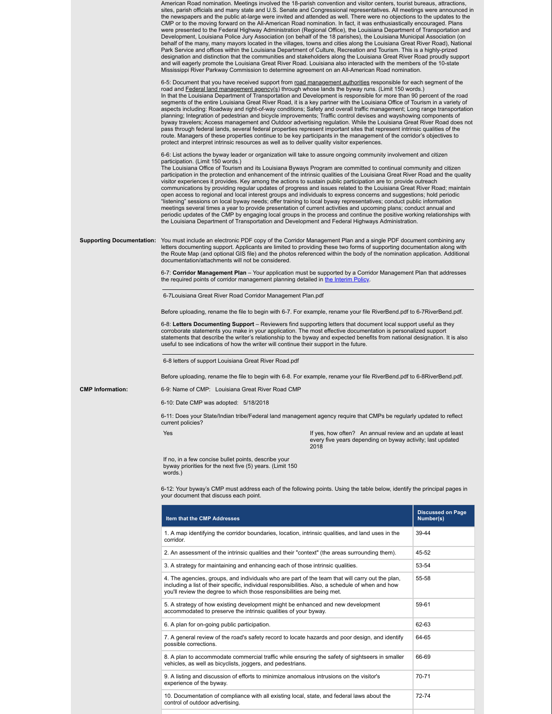|                         | American Road nomination. Meetings involved the 18-parish convention and visitor centers, tourist bureaus, attractions,<br>sites, parish officials and many state and U.S. Senate and Congressional representatives. All meetings were announced in<br>the newspapers and the public at-large were invited and attended as well. There were no objections to the updates to the<br>CMP or to the moving forward on the All-American Road nomination. In fact, it was enthusiastically encouraged. Plans<br>were presented to the Federal Highway Administration (Regional Office), the Louisiana Department of Transportation and<br>Development, Louisiana Police Jury Association (on behalf of the 18 parishes), the Louisiana Municipal Association (on<br>behalf of the many, many mayors located in the villages, towns and cities along the Louisiana Great River Road), National<br>Park Service and offices within the Louisiana Department of Culture, Recreation and Tourism. This is a highly-prized<br>designation and distinction that the communities and stakeholders along the Louisiana Great River Road proudly support<br>and will eagerly promote the Louisiana Great River Road. Louisiana also interacted with the members of the 10-state<br>Mississippi River Parkway Commission to determine agreement on an All-American Road nomination. |                                       |  |  |  |
|-------------------------|----------------------------------------------------------------------------------------------------------------------------------------------------------------------------------------------------------------------------------------------------------------------------------------------------------------------------------------------------------------------------------------------------------------------------------------------------------------------------------------------------------------------------------------------------------------------------------------------------------------------------------------------------------------------------------------------------------------------------------------------------------------------------------------------------------------------------------------------------------------------------------------------------------------------------------------------------------------------------------------------------------------------------------------------------------------------------------------------------------------------------------------------------------------------------------------------------------------------------------------------------------------------------------------------------------------------------------------------------------------------|---------------------------------------|--|--|--|
|                         | 6-5: Document that you have received support from road management authorities responsible for each segment of the<br>road and Federal land management agency(s) through whose lands the byway runs. (Limit 150 words.)<br>In that the Louisiana Department of Transportation and Development is responsible for more than 90 percent of the road<br>segments of the entire Louisiana Great River Road, it is a key partner with the Louisiana Office of Tourism in a variety of<br>aspects including: Roadway and right-of-way conditions; Safety and overall traffic management; Long range transportation<br>planning; Integration of pedestrian and bicycle improvements; Traffic control devises and wayshowing components of<br>byway travelers; Access management and Outdoor advertising regulation. While the Louisiana Great River Road does not<br>pass through federal lands, several federal properties represent important sites that represent intrinsic qualities of the<br>route. Managers of these properties continue to be key participants in the management of the corridor's objectives to<br>protect and interpret intrinsic resources as well as to deliver quality visitor experiences.                                                                                                                                                     |                                       |  |  |  |
|                         | 6-6: List actions the byway leader or organization will take to assure ongoing community involvement and citizen<br>participation. (Limit 150 words.)<br>The Louisiana Office of Tourism and its Louisiana Byways Program are committed to continual community and citizen<br>participation in the protection and enhancement of the intrinsic qualities of the Louisiana Great River Road and the quality<br>visitor experiences it provides. Key among the actions to sustain public participation are to: provide outreach<br>communications by providing regular updates of progress and issues related to the Louisiana Great River Road; maintain<br>open access to regional and local interest groups and individuals to express concerns and suggestions; hold periodic<br>"listening" sessions on local byway needs; offer training to local byway representatives; conduct public information<br>meetings several times a year to provide presentation of current activities and upcoming plans; conduct annual and<br>periodic updates of the CMP by engaging local groups in the process and continue the positive working relationships with<br>the Louisiana Department of Transportation and Development and Federal Highways Administration.                                                                                                         |                                       |  |  |  |
|                         | Supporting Documentation: You must include an electronic PDF copy of the Corridor Management Plan and a single PDF document combining any<br>letters documenting support. Applicants are limited to providing these two forms of supporting documentation along with<br>the Route Map (and optional GIS file) and the photos referenced within the body of the nomination application. Additional<br>documentation/attachments will not be considered.                                                                                                                                                                                                                                                                                                                                                                                                                                                                                                                                                                                                                                                                                                                                                                                                                                                                                                               |                                       |  |  |  |
|                         | 6-7: Corridor Management Plan - Your application must be supported by a Corridor Management Plan that addresses<br>the required points of corridor management planning detailed in the Interim Policy.                                                                                                                                                                                                                                                                                                                                                                                                                                                                                                                                                                                                                                                                                                                                                                                                                                                                                                                                                                                                                                                                                                                                                               |                                       |  |  |  |
|                         | 6-7 Louisiana Great River Road Corridor Management Plan.pdf                                                                                                                                                                                                                                                                                                                                                                                                                                                                                                                                                                                                                                                                                                                                                                                                                                                                                                                                                                                                                                                                                                                                                                                                                                                                                                          |                                       |  |  |  |
|                         | Before uploading, rename the file to begin with 6-7. For example, rename your file RiverBend.pdf to 6-7RiverBend.pdf.                                                                                                                                                                                                                                                                                                                                                                                                                                                                                                                                                                                                                                                                                                                                                                                                                                                                                                                                                                                                                                                                                                                                                                                                                                                |                                       |  |  |  |
|                         | 6-8: Letters Documenting Support – Reviewers find supporting letters that document local support useful as they<br>corroborate statements you make in your application. The most effective documentation is personalized support<br>statements that describe the writer's relationship to the byway and expected benefits from national designation. It is also<br>useful to see indications of how the writer will continue their support in the future.                                                                                                                                                                                                                                                                                                                                                                                                                                                                                                                                                                                                                                                                                                                                                                                                                                                                                                            |                                       |  |  |  |
|                         | 6-8 letters of support Louisiana Great River Road.pdf                                                                                                                                                                                                                                                                                                                                                                                                                                                                                                                                                                                                                                                                                                                                                                                                                                                                                                                                                                                                                                                                                                                                                                                                                                                                                                                |                                       |  |  |  |
|                         | Before uploading, rename the file to begin with 6-8. For example, rename your file RiverBend.pdf to 6-8RiverBend.pdf.                                                                                                                                                                                                                                                                                                                                                                                                                                                                                                                                                                                                                                                                                                                                                                                                                                                                                                                                                                                                                                                                                                                                                                                                                                                |                                       |  |  |  |
| <b>CMP Information:</b> | 6-9: Name of CMP: Louisiana Great River Road CMP                                                                                                                                                                                                                                                                                                                                                                                                                                                                                                                                                                                                                                                                                                                                                                                                                                                                                                                                                                                                                                                                                                                                                                                                                                                                                                                     |                                       |  |  |  |
|                         | 6-10: Date CMP was adopted: 5/18/2018<br>6-11: Does your State/Indian tribe/Federal land management agency require that CMPs be regularly updated to reflect                                                                                                                                                                                                                                                                                                                                                                                                                                                                                                                                                                                                                                                                                                                                                                                                                                                                                                                                                                                                                                                                                                                                                                                                         |                                       |  |  |  |
|                         | current policies?                                                                                                                                                                                                                                                                                                                                                                                                                                                                                                                                                                                                                                                                                                                                                                                                                                                                                                                                                                                                                                                                                                                                                                                                                                                                                                                                                    |                                       |  |  |  |
|                         | Yes<br>If yes, how often? An annual review and an update at least<br>every five years depending on byway activity; last updated<br>2018                                                                                                                                                                                                                                                                                                                                                                                                                                                                                                                                                                                                                                                                                                                                                                                                                                                                                                                                                                                                                                                                                                                                                                                                                              |                                       |  |  |  |
|                         | If no, in a few concise bullet points, describe your<br>byway priorities for the next five (5) years. (Limit 150<br>words.)                                                                                                                                                                                                                                                                                                                                                                                                                                                                                                                                                                                                                                                                                                                                                                                                                                                                                                                                                                                                                                                                                                                                                                                                                                          |                                       |  |  |  |
|                         | 6-12: Your byway's CMP must address each of the following points. Using the table below, identify the principal pages in<br>your document that discuss each point.                                                                                                                                                                                                                                                                                                                                                                                                                                                                                                                                                                                                                                                                                                                                                                                                                                                                                                                                                                                                                                                                                                                                                                                                   |                                       |  |  |  |
|                         | Item that the CMP Addresses                                                                                                                                                                                                                                                                                                                                                                                                                                                                                                                                                                                                                                                                                                                                                                                                                                                                                                                                                                                                                                                                                                                                                                                                                                                                                                                                          | <b>Discussed on Page</b><br>Number(s) |  |  |  |
|                         | 1. A map identifying the corridor boundaries, location, intrinsic qualities, and land uses in the<br>corridor.                                                                                                                                                                                                                                                                                                                                                                                                                                                                                                                                                                                                                                                                                                                                                                                                                                                                                                                                                                                                                                                                                                                                                                                                                                                       | 39-44                                 |  |  |  |
|                         | 2. An assessment of the intrinsic qualities and their "context" (the areas surrounding them).                                                                                                                                                                                                                                                                                                                                                                                                                                                                                                                                                                                                                                                                                                                                                                                                                                                                                                                                                                                                                                                                                                                                                                                                                                                                        | 45-52                                 |  |  |  |
|                         | 3. A strategy for maintaining and enhancing each of those intrinsic qualities.                                                                                                                                                                                                                                                                                                                                                                                                                                                                                                                                                                                                                                                                                                                                                                                                                                                                                                                                                                                                                                                                                                                                                                                                                                                                                       | 53-54                                 |  |  |  |
|                         | 4. The agencies, groups, and individuals who are part of the team that will carry out the plan,<br>including a list of their specific, individual responsibilities. Also, a schedule of when and how<br>you'll review the degree to which those responsibilities are being met.                                                                                                                                                                                                                                                                                                                                                                                                                                                                                                                                                                                                                                                                                                                                                                                                                                                                                                                                                                                                                                                                                      | 55-58                                 |  |  |  |
|                         | 5. A strategy of how existing development might be enhanced and new development<br>accommodated to preserve the intrinsic qualities of your byway.                                                                                                                                                                                                                                                                                                                                                                                                                                                                                                                                                                                                                                                                                                                                                                                                                                                                                                                                                                                                                                                                                                                                                                                                                   | 59-61                                 |  |  |  |
|                         | 6. A plan for on-going public participation.                                                                                                                                                                                                                                                                                                                                                                                                                                                                                                                                                                                                                                                                                                                                                                                                                                                                                                                                                                                                                                                                                                                                                                                                                                                                                                                         | 62-63                                 |  |  |  |
|                         | 7. A general review of the road's safety record to locate hazards and poor design, and identify<br>possible corrections.                                                                                                                                                                                                                                                                                                                                                                                                                                                                                                                                                                                                                                                                                                                                                                                                                                                                                                                                                                                                                                                                                                                                                                                                                                             | 64-65                                 |  |  |  |
|                         | 8. A plan to accommodate commercial traffic while ensuring the safety of sightseers in smaller<br>vehicles, as well as bicyclists, joggers, and pedestrians.                                                                                                                                                                                                                                                                                                                                                                                                                                                                                                                                                                                                                                                                                                                                                                                                                                                                                                                                                                                                                                                                                                                                                                                                         | 66-69                                 |  |  |  |
|                         | 9. A listing and discussion of efforts to minimize anomalous intrusions on the visitor's                                                                                                                                                                                                                                                                                                                                                                                                                                                                                                                                                                                                                                                                                                                                                                                                                                                                                                                                                                                                                                                                                                                                                                                                                                                                             | 70-71                                 |  |  |  |
|                         | experience of the byway.                                                                                                                                                                                                                                                                                                                                                                                                                                                                                                                                                                                                                                                                                                                                                                                                                                                                                                                                                                                                                                                                                                                                                                                                                                                                                                                                             |                                       |  |  |  |